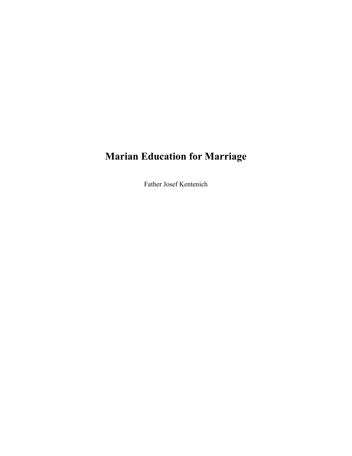# **Marian Education for Marriage**

Father Josef Kentenich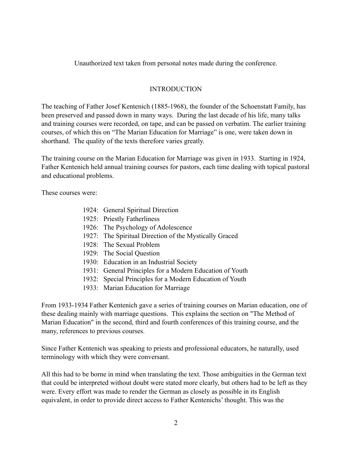Unauthorized text taken from personal notes made during the conference.

### INTRODUCTION

The teaching of Father Josef Kentenich (1885-1968), the founder of the Schoenstatt Family, has been preserved and passed down in many ways. During the last decade of his life, many talks and training courses were recorded, on tape, and can be passed on verbatim. The earlier training courses, of which this on "The Marian Education for Marriage" is one, were taken down in shorthand. The quality of the texts therefore varies greatly.

The training course on the Marian Education for Marriage was given in 1933. Starting in 1924, Father Kentenich held annual training courses for pastors, each time dealing with topical pastoral and educational problems.

These courses were:

- 1924: General Spiritual Direction
- 1925: Priestly Fatherliness
- 1926: The Psychology of Adolescence
- 1927: The Spiritual Direction of the Mystically Graced
- 1928: The Sexual Problem
- 1929: The Social Question
- 1930: Education in an Industrial Society
- 1931: General Principles for a Modern Education of Youth
- 1932: Special Principles for a Modern Education of Youth
- 1933: Marian Education for Marriage

From 1933-1934 Father Kentenich gave a series of training courses on Marian education, one of these dealing mainly with marriage questions. This explains the section on "The Method of Marian Education" in the second, third and fourth conferences of this training course, and the many, references to previous courses.

Since Father Kentenich was speaking to priests and professional educators, he naturally, used terminology with which they were conversant.

All this had to be borne in mind when translating the text. Those ambiguities in the German text that could be interpreted without doubt were stated more clearly, but others had to be left as they were. Every effort was made to render the German as closely as possible in its English equivalent, in order to provide direct access to Father Kentenichs' thought. This was the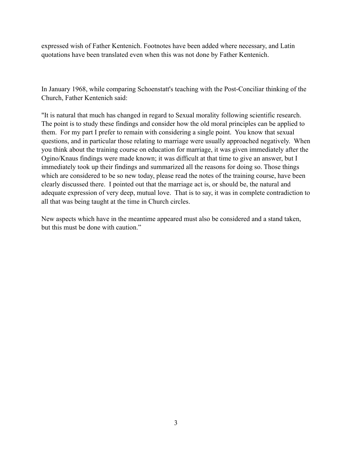expressed wish of Father Kentenich. Footnotes have been added where necessary, and Latin quotations have been translated even when this was not done by Father Kentenich.

In January 1968, while comparing Schoenstatt's teaching with the Post-Conciliar thinking of the Church, Father Kentenich said:

"It is natural that much has changed in regard to Sexual morality following scientific research. The point is to study these findings and consider how the old moral principles can be applied to them. For my part I prefer to remain with considering a single point. You know that sexual questions, and in particular those relating to marriage were usually approached negatively. When you think about the training course on education for marriage, it was given immediately after the Ogino/Knaus findings were made known; it was difficult at that time to give an answer, but I immediately took up their findings and summarized all the reasons for doing so. Those things which are considered to be so new today, please read the notes of the training course, have been clearly discussed there. I pointed out that the marriage act is, or should be, the natural and adequate expression of very deep, mutual love. That is to say, it was in complete contradiction to all that was being taught at the time in Church circles.

New aspects which have in the meantime appeared must also be considered and a stand taken, but this must be done with caution."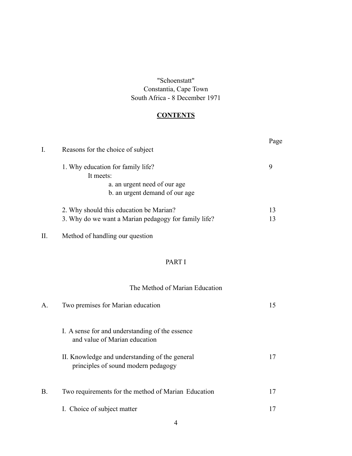"Schoenstatt" Constantia, Cape Town South Africa - 8 December 1971

# **CONTENTS**

| I. | Reasons for the choice of subject                    | Page |
|----|------------------------------------------------------|------|
|    | 1. Why education for family life?                    | 9    |
|    | It meets:                                            |      |
|    | a. an urgent need of our age                         |      |
|    | b. an urgent demand of our age                       |      |
|    | 2. Why should this education be Marian?              | 13   |
|    | 3. Why do we want a Marian pedagogy for family life? | 13   |
| П. | Method of handling our question                      |      |
|    | PART I                                               |      |
|    | The Method of Marian Education                       |      |
| А. | Two premises for Marian education                    | 15   |
|    | I. A sense for and understanding of the essence      |      |

| II. Knowledge and understanding of the general | 17 |
|------------------------------------------------|----|
| principles of sound modern pedagogy            |    |

| <b>B</b> . | Two requirements for the method of Marian Education |  |
|------------|-----------------------------------------------------|--|
|            | I. Choice of subject matter                         |  |

and value of Marian education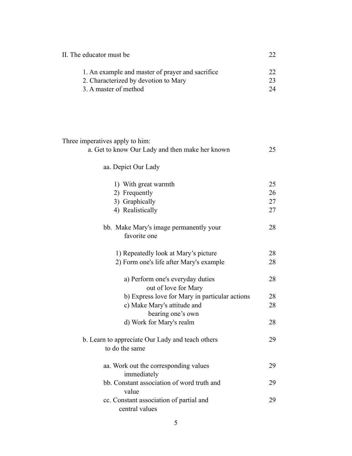| II. The educator must be                         |  |
|--------------------------------------------------|--|
| 1. An example and master of prayer and sacrifice |  |
| 2. Characterized by devotion to Mary             |  |
| 3. A master of method                            |  |

| a. Get to know Our Lady and then make her known          | 25 |
|----------------------------------------------------------|----|
| aa. Depict Our Lady                                      |    |
| 1) With great warmth                                     | 25 |
| 2) Frequently                                            | 26 |
| 3) Graphically                                           | 27 |
| 4) Realistically                                         | 27 |
| bb. Make Mary's image permanently your<br>favorite one   | 28 |
| 1) Repeatedly look at Mary's picture                     | 28 |
| 2) Form one's life after Mary's example                  | 28 |
| a) Perform one's everyday duties<br>out of love for Mary | 28 |
| b) Express love for Mary in particular actions           | 28 |

Three imperatives apply to him:

| a) Perform one's everyday duties                                   | 28 |
|--------------------------------------------------------------------|----|
| out of love for Mary                                               |    |
| b) Express love for Mary in particular actions                     | 28 |
| c) Make Mary's attitude and                                        | 28 |
| bearing one's own                                                  |    |
| d) Work for Mary's realm                                           | 28 |
| b. Learn to appreciate Our Lady and teach others<br>to do the same | 29 |
| aa. Work out the corresponding values<br>immediately               | 29 |
| bb. Constant association of word truth and<br>value                | 29 |
| cc. Constant association of partial and                            | 29 |
|                                                                    |    |

central values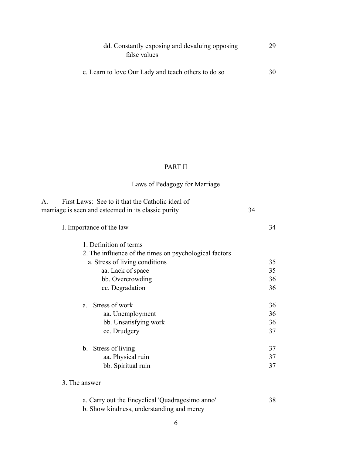| dd. Constantly exposing and devaluing opposing      | 29 |
|-----------------------------------------------------|----|
| false values                                        |    |
| c. Learn to love Our Lady and teach others to do so | 30 |

## PART II

# Laws of Pedagogy for Marriage

| $A_{\cdot}$ | First Laws: See to it that the Catholic ideal of       |    |    |
|-------------|--------------------------------------------------------|----|----|
|             | marriage is seen and esteemed in its classic purity    | 34 |    |
|             | I. Importance of the law                               |    | 34 |
|             | 1. Definition of terms                                 |    |    |
|             | 2. The influence of the times on psychological factors |    |    |
|             | a. Stress of living conditions                         |    | 35 |
|             | aa. Lack of space                                      |    | 35 |
|             | bb. Overcrowding                                       |    | 36 |
|             | cc. Degradation                                        |    | 36 |
|             | Stress of work<br>a.                                   |    | 36 |
|             | aa. Unemployment                                       |    | 36 |
|             | bb. Unsatisfying work                                  |    | 36 |
|             | cc. Drudgery                                           |    | 37 |
|             | b. Stress of living                                    |    | 37 |
|             | aa. Physical ruin                                      |    | 37 |
|             | bb. Spiritual ruin                                     |    | 37 |
|             | 3. The answer                                          |    |    |
|             | a. Carry out the Encyclical 'Quadragesimo anno'        |    | 38 |
|             | b. Show kindness, understanding and mercy              |    |    |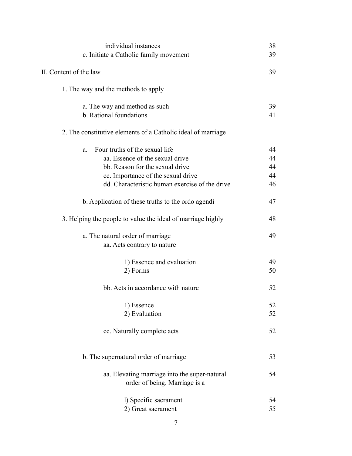| individual instances                                         | 38       |
|--------------------------------------------------------------|----------|
| c. Initiate a Catholic family movement                       | 39       |
| II. Content of the law                                       | 39       |
| 1. The way and the methods to apply                          |          |
| a. The way and method as such<br>b. Rational foundations     | 39<br>41 |
|                                                              |          |
| 2. The constitutive elements of a Catholic ideal of marriage |          |
| Four truths of the sexual life<br>a.                         | 44       |
| aa. Essence of the sexual drive                              | 44       |
| bb. Reason for the sexual drive                              | 44       |
| cc. Importance of the sexual drive                           | 44       |
| dd. Characteristic human exercise of the drive               | 46       |
| b. Application of these truths to the ordo agendi            | 47       |
| 3. Helping the people to value the ideal of marriage highly  | 48       |
| a. The natural order of marriage                             | 49       |
| aa. Acts contrary to nature                                  |          |
| 1) Essence and evaluation                                    | 49       |
| 2) Forms                                                     | 50       |
| bb. Acts in accordance with nature                           | 52       |
| 1) Essence                                                   | 52       |
| 2) Evaluation                                                | 52       |
| cc. Naturally complete acts                                  | 52       |
| b. The supernatural order of marriage                        | 53       |
|                                                              |          |
| aa. Elevating marriage into the super-natural                | 54       |
| order of being. Marriage is a                                |          |
| 1) Specific sacrament                                        | 54       |
| 2) Great sacrament                                           | 55       |
|                                                              |          |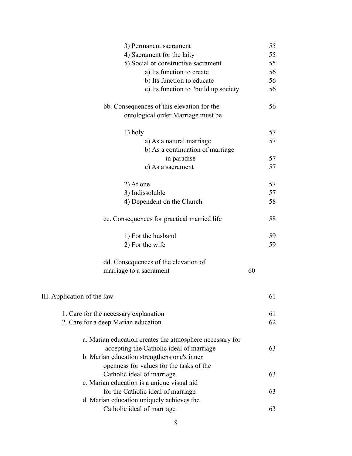| 3) Permanent sacrament                                                           |    | 55 |
|----------------------------------------------------------------------------------|----|----|
| 4) Sacrament for the laity                                                       |    | 55 |
| 5) Social or constructive sacrament                                              |    | 55 |
| a) Its function to create                                                        |    | 56 |
| b) Its function to educate                                                       |    | 56 |
| c) Its function to "build up society                                             |    | 56 |
| bb. Consequences of this elevation for the<br>ontological order Marriage must be |    | 56 |
|                                                                                  |    |    |
| 1) holy                                                                          |    | 57 |
| a) As a natural marriage                                                         |    | 57 |
| b) As a continuation of marriage                                                 |    |    |
| in paradise                                                                      |    | 57 |
| c) As a sacrament                                                                |    | 57 |
| 2) At one                                                                        |    | 57 |
| 3) Indissoluble                                                                  |    | 57 |
| 4) Dependent on the Church                                                       |    | 58 |
| cc. Consequences for practical married life                                      |    | 58 |
| 1) For the husband                                                               |    | 59 |
| 2) For the wife                                                                  |    | 59 |
| dd. Consequences of the elevation of                                             |    |    |
| marriage to a sacrament                                                          | 60 |    |
|                                                                                  |    |    |
| III. Application of the law                                                      |    | 61 |
| 1. Care for the necessary explanation                                            |    | 61 |
| 2. Care for a deep Marian education                                              |    | 62 |
| a. Marian education creates the atmosphere necessary for                         |    |    |
| accepting the Catholic ideal of marriage                                         |    | 63 |
| b. Marian education strengthens one's inner                                      |    |    |
| openness for values for the tasks of the                                         |    |    |
| Catholic ideal of marriage                                                       |    | 63 |
| c. Marian education is a unique visual aid                                       |    |    |
| for the Catholic ideal of marriage                                               |    | 63 |
| d. Marian education uniquely achieves the                                        |    |    |
| Catholic ideal of marriage                                                       |    | 63 |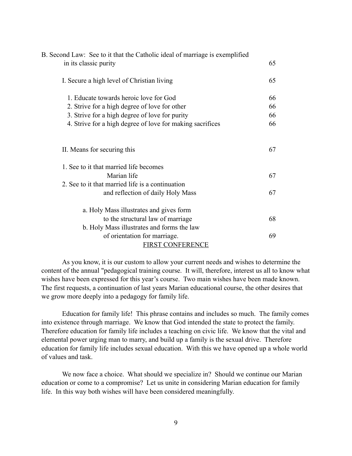| B. Second Law: See to it that the Catholic ideal of marriage is exemplified<br>in its classic purity | 65 |
|------------------------------------------------------------------------------------------------------|----|
|                                                                                                      |    |
| I. Secure a high level of Christian living                                                           | 65 |
| 1. Educate towards heroic love for God                                                               | 66 |
| 2. Strive for a high degree of love for other                                                        | 66 |
| 3. Strive for a high degree of love for purity                                                       | 66 |
| 4. Strive for a high degree of love for making sacrifices                                            | 66 |
| II. Means for securing this                                                                          | 67 |
| 1. See to it that married life becomes                                                               |    |
| Marian life                                                                                          | 67 |
| 2. See to it that married life is a continuation                                                     |    |
| and reflection of daily Holy Mass                                                                    | 67 |
| a. Holy Mass illustrates and gives form                                                              |    |
| to the structural law of marriage                                                                    | 68 |
| b. Holy Mass illustrates and forms the law                                                           |    |
| of orientation for marriage.                                                                         | 69 |
| <b>FIRST CONFERENCE</b>                                                                              |    |

As you know, it is our custom to allow your current needs and wishes to determine the content of the annual "pedagogical training course. It will, therefore, interest us all to know what wishes have been expressed for this year's course. Two main wishes have been made known. The first requests, a continuation of last years Marian educational course, the other desires that we grow more deeply into a pedagogy for family life.

Education for family life! This phrase contains and includes so much. The family comes into existence through marriage. We know that God intended the state to protect the family. Therefore education for family life includes a teaching on civic life. We know that the vital and elemental power urging man to marry, and build up a family is the sexual drive. Therefore education for family life includes sexual education. With this we have opened up a whole world of values and task.

We now face a choice. What should we specialize in? Should we continue our Marian education or come to a compromise? Let us unite in considering Marian education for family life. In this way both wishes will have been considered meaningfully.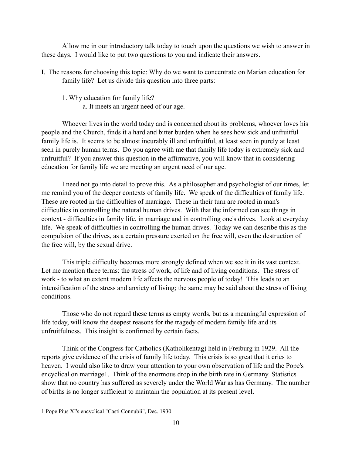Allow me in our introductory talk today to touch upon the questions we wish to answer in these days. I would like to put two questions to you and indicate their answers.

- I. The reasons for choosing this topic: Why do we want to concentrate on Marian education for family life? Let us divide this question into three parts:
	- 1. Why education for family life?
		- a. It meets an urgent need of our age.

 Whoever lives in the world today and is concerned about its problems, whoever loves his people and the Church, finds it a hard and bitter burden when he sees how sick and unfruitful family life is. It seems to be almost incurably ill and unfruitful, at least seen in purely at least seen in purely human terms. Do you agree with me that family life today is extremely sick and unfruitful? If you answer this question in the affirmative, you will know that in considering education for family life we are meeting an urgent need of our age.

 I need not go into detail to prove this. As a philosopher and psychologist of our times, let me remind you of the deeper contexts of family life. We speak of the difficulties of family life. These are rooted in the difficulties of marriage. These in their turn are rooted in man's difficulties in controlling the natural human drives. With that the informed can see things in context - difficulties in family life, in marriage and in controlling one's drives. Look at everyday life. We speak of difficulties in controlling the human drives. Today we can describe this as the compulsion of the drives, as a certain pressure exerted on the free will, even the destruction of the free will, by the sexual drive.

 This triple difficulty becomes more strongly defined when we see it in its vast context. Let me mention three terms: the stress of work, of life and of living conditions. The stress of work - to what an extent modern life affects the nervous people of today! This leads to an intensification of the stress and anxiety of living; the same may be said about the stress of living conditions.

Those who do not regard these terms as empty words, but as a meaningful expression of life today, will know the deepest reasons for the tragedy of modern family life and its unfruitfulness. This insight is confirmed by certain facts.

Think of the Congress for Catholics (Katholikentag) held in Freiburg in 1929. All the reports give evidence of the crisis of family life today. This crisis is so great that it cries to heaven. I would also like to draw your attention to your own observation of life and the Pope's encyclical on marriage 1. Think of the enormous drop in the birth rate in Germany. Statistics show that no country has suffered as severely under the World War as has Germany. The number of births is no longer sufficient to maintain the population at its present level.

<sup>1</sup> Pope Pius XI's encyclical "Casti Connubii", Dec. 1930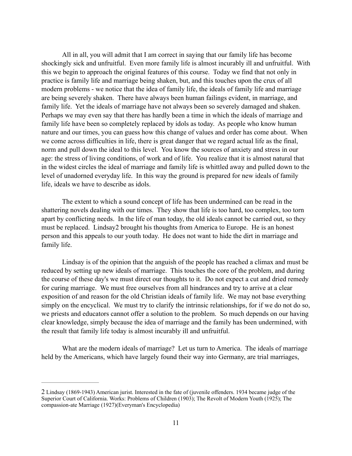All in all, you will admit that I am correct in saying that our family life has become shockingly sick and unfruitful. Even more family life is almost incurably ill and unfruitful. With this we begin to approach the original features of this course. Today we find that not only in practice is family life and marriage being shaken, but, and this touches upon the crux of all modern problems - we notice that the idea of family life, the ideals of family life and marriage are being severely shaken. There have always been human failings evident, in marriage, and family life. Yet the ideals of marriage have not always been so severely damaged and shaken. Perhaps we may even say that there has hardly been a time in which the ideals of marriage and family life have been so completely replaced by idols as today. As people who know human nature and our times, you can guess how this change of values and order has come about. When we come across difficulties in life, there is great danger that we regard actual life as the final, norm and pull down the ideal to this level. You know the sources of anxiety and stress in our age: the stress of living conditions, of work and of life. You realize that it is almost natural that in the widest circles the ideal of marriage and family life is whittled away and pulled down to the level of unadorned everyday life. In this way the ground is prepared for new ideals of family life, ideals we have to describe as idols.

The extent to which a sound concept of life has been undermined can be read in the shattering novels dealing with our times. They show that life is too hard, too complex, too torn apart by conflicting needs. In the life of man today, the old ideals cannot be carried out, so they must be replaced. Lindsay2 brought his thoughts from America to Europe. He is an honest person and this appeals to our youth today. He does not want to hide the dirt in marriage and family life.

 Lindsay is of the opinion that the anguish of the people has reached a climax and must be reduced by setting up new ideals of marriage. This touches the core of the problem, and during the course of these day's we must direct our thoughts to it. Do not expect a cut and dried remedy for curing marriage. We must free ourselves from all hindrances and try to arrive at a clear exposition of and reason for the old Christian ideals of family life. We may not base everything simply on the encyclical. We must try to clarify the intrinsic relationships, for if we do not do so, we priests and educators cannot offer a solution to the problem. So much depends on our having clear knowledge, simply because the idea of marriage and the family has been undermined, with the result that family life today is almost incurably ill and unfruitful.

 What are the modern ideals of marriage? Let us turn to America. The ideals of marriage held by the Americans, which have largely found their way into Germany, are trial marriages,

<sup>2</sup> Lindsay (1869-1943) American jurist. Interested in the fate of (juvenile offenders. 1934 became judge of the Superior Court of California. Works: Problems of Children (1903); The Revolt of Modern Youth (1925); The compassion-ate Marriage (1927)(Everyman's Encyclopedia)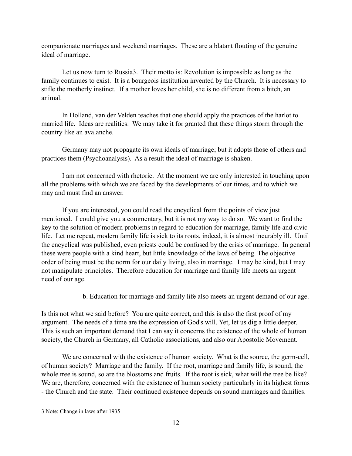companionate marriages and weekend marriages. These are a blatant flouting of the genuine ideal of marriage.

Let us now turn to Russia<sub>3</sub>. Their motto is: Revolution is impossible as long as the family continues to exist. It is a bourgeois institution invented by the Church. It is necessary to stifle the motherly instinct. If a mother loves her child, she is no different from a bitch, an animal.

 In Holland, van der Velden teaches that one should apply the practices of the harlot to married life. Ideas are realities. We may take it for granted that these things storm through the country like an avalanche.

 Germany may not propagate its own ideals of marriage; but it adopts those of others and practices them (Psychoanalysis). As a result the ideal of marriage is shaken.

 I am not concerned with rhetoric. At the moment we are only interested in touching upon all the problems with which we are faced by the developments of our times, and to which we may and must find an answer.

 If you are interested, you could read the encyclical from the points of view just mentioned. I could give you a commentary, but it is not my way to do so. We want to find the key to the solution of modern problems in regard to education for marriage, family life and civic life. Let me repeat, modern family life is sick to its roots, indeed, it is almost incurably ill. Until the encyclical was published, even priests could be confused by the crisis of marriage. In general these were people with a kind heart, but little knowledge of the laws of being. The objective order of being must be the norm for our daily living, also in marriage. I may be kind, but I may not manipulate principles. Therefore education for marriage and family life meets an urgent need of our age.

b. Education for marriage and family life also meets an urgent demand of our age.

Is this not what we said before? You are quite correct, and this is also the first proof of my argument. The needs of a time are the expression of God's will. Yet, let us dig a little deeper. This is such an important demand that I can say it concerns the existence of the whole of human society, the Church in Germany, all Catholic associations, and also our Apostolic Movement.

 We are concerned with the existence of human society. What is the source, the germ-cell, of human society? Marriage and the family. If the root, marriage and family life, is sound, the whole tree is sound, so are the blossoms and fruits. If the root is sick, what will the tree be like? We are, therefore, concerned with the existence of human society particularly in its highest forms - the Church and the state. Their continued existence depends on sound marriages and families.

<sup>3</sup> Note: Change in laws after 1935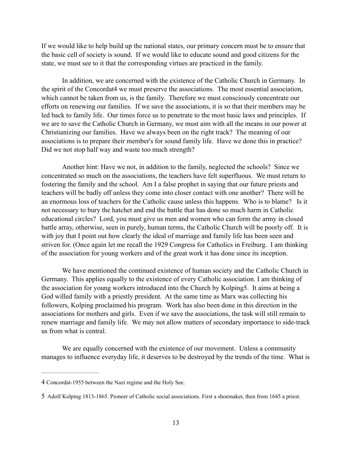If we would like to help build up the national states, our primary concern must be to ensure that the basic cell of society is sound. If we would like to educate sound and good citizens for the state, we must see to it that the corresponding virtues are practiced in the family.

 In addition, we are concerned with the existence of the Catholic Church in Germany. In the spirit of the Concordat<sup>4</sup> we must preserve the associations. The most essential association, which cannot be taken from us, is the family. Therefore we must consciously concentrate our efforts on renewing our families. If we save the associations, it is so that their members may be led back to family life. Our times force us to penetrate to the most basic laws and principles. If we are to save the Catholic Church in Germany, we must aim with all the means in our power at Christianizing our families. Have we always been on the right track? The meaning of our associations is to prepare their member's for sound family life. Have we done this in practice? Did we not stop half way and waste too much strength?

 Another hint: Have we not, in addition to the family, neglected the schools? Since we concentrated so much on the associations, the teachers have felt superfluous. We must return to fostering the family and the school. Am I a false prophet in saying that our future priests and teachers will be badly off unless they come into closer contact with one another? There will be an enormous loss of teachers for the Catholic cause unless this happens. Who is to blame? Is it not necessary to bury the hatchet and end the battle that has done so much harm in Catholic educational circles? Lord, you must give us men and women who can form the army in closed battle array, otherwise, seen in purely, human terms, the Catholic Church will be poorly off. It is with joy that I point out how clearly the ideal of marriage and family life has been seen and striven for. (Once again let me recall the 1929 Congress for Catholics in Freiburg. I am thinking of the association for young workers and of the great work it has done since its inception.

 We have mentioned the continued existence of human society and the Catholic Church in Germany. This applies equally to the existence of every Catholic association. I am thinking of the association for young workers introduced into the Church by Kolping5. It aims at being a God willed family with a priestly president. At the same time as Marx was collecting his followers, Kolping proclaimed his program. Work has also been done in this direction in the associations for mothers and girls. Even if we save the associations, the task will still remain to renew marriage and family life. We may not allow matters of secondary importance to side-track us from what is central.

 We are equally concerned with the existence of our movement. Unless a community manages to influence everyday life, it deserves to be destroyed by the trends of the time. What is

<sup>4</sup> Concordat-1955 between the Nazi regime and the Holy See.

<sup>5</sup> Adolf Kolping 1813-1865. Pioneer of Catholic social associations. First a shoemaker, then from 1645 a priest.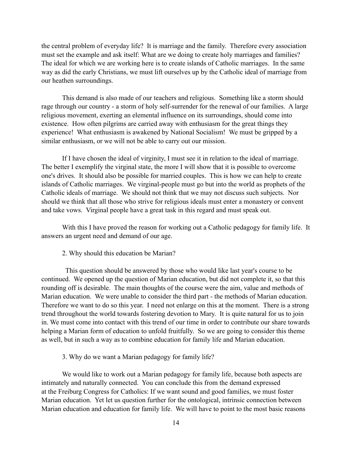the central problem of everyday life? It is marriage and the family. Therefore every association must set the example and ask itself: What are we doing to create holy marriages and families? The ideal for which we are working here is to create islands of Catholic marriages. In the same way as did the early Christians, we must lift ourselves up by the Catholic ideal of marriage from our heathen surroundings.

 This demand is also made of our teachers and religious. Something like a storm should rage through our country - a storm of holy self-surrender for the renewal of our families. A large religious movement, exerting an elemental influence on its surroundings, should come into existence. How often pilgrims are carried away with enthusiasm for the great things they experience! What enthusiasm is awakened by National Socialism! We must be gripped by a similar enthusiasm, or we will not be able to carry out our mission.

 If I have chosen the ideal of virginity, I must see it in relation to the ideal of marriage. The better I exemplify the virginal state, the more I will show that it is possible to overcome one's drives. It should also be possible for married couples. This is how we can help to create islands of Catholic marriages. We virginal-people must go but into the world as prophets of the Catholic ideals of marriage. We should not think that we may not discuss such subjects. Nor should we think that all those who strive for religious ideals must enter a monastery or convent and take vows. Virginal people have a great task in this regard and must speak out.

 With this I have proved the reason for working out a Catholic pedagogy for family life. It answers an urgent need and demand of our age.

2. Why should this education be Marian?

 This question should be answered by those who would like last year's course to be continued. We opened up the question of Marian education, but did not complete it, so that this rounding off is desirable. The main thoughts of the course were the aim, value and methods of Marian education. We were unable to consider the third part - the methods of Marian education. Therefore we want to do so this year. I need not enlarge on this at the moment. There is a strong trend throughout the world towards fostering devotion to Mary. It is quite natural for us to join in. We must come into contact with this trend of our time in order to contribute our share towards helping a Marian form of education to unfold fruitfully. So we are going to consider this theme as well, but in such a way as to combine education for family life and Marian education.

3. Why do we want a Marian pedagogy for family life?

 We would like to work out a Marian pedagogy for family life, because both aspects are intimately and naturally connected. You can conclude this from the demand expressed at the Freiburg Congress for Catholics: If we want sound and good families, we must foster Marian education. Yet let us question further for the ontological, intrinsic connection between Marian education and education for family life. We will have to point to the most basic reasons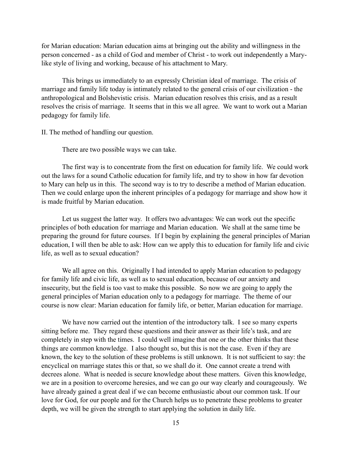for Marian education: Marian education aims at bringing out the ability and willingness in the person concerned - as a child of God and member of Christ - to work out independently a Marylike style of living and working, because of his attachment to Mary.

 This brings us immediately to an expressly Christian ideal of marriage. The crisis of marriage and family life today is intimately related to the general crisis of our civilization - the anthropological and Bolshevistic crisis. Marian education resolves this crisis, and as a result resolves the crisis of marriage. It seems that in this we all agree. We want to work out a Marian pedagogy for family life.

II. The method of handling our question.

There are two possible ways we can take.

 The first way is to concentrate from the first on education for family life. We could work out the laws for a sound Catholic education for family life, and try to show in how far devotion to Mary can help us in this. The second way is to try to describe a method of Marian education. Then we could enlarge upon the inherent principles of a pedagogy for marriage and show how it is made fruitful by Marian education.

 Let us suggest the latter way. It offers two advantages: We can work out the specific principles of both education for marriage and Marian education. We shall at the same time be preparing the ground for future courses. If I begin by explaining the general principles of Marian education, I will then be able to ask: How can we apply this to education for family life and civic life, as well as to sexual education?

 We all agree on this. Originally I had intended to apply Marian education to pedagogy for family life and civic life, as well as to sexual education, because of our anxiety and insecurity, but the field is too vast to make this possible. So now we are going to apply the general principles of Marian education only to a pedagogy for marriage. The theme of our course is now clear: Marian education for family life, or better, Marian education for marriage.

 We have now carried out the intention of the introductory talk. I see so many experts sitting before me. They regard these questions and their answer as their life's task, and are completely in step with the times. I could well imagine that one or the other thinks that these things are common knowledge. I also thought so, but this is not the case. Even if they are known, the key to the solution of these problems is still unknown. It is not sufficient to say: the encyclical on marriage states this or that, so we shall do it. One cannot create a trend with decrees alone. What is needed is secure knowledge about these matters. Given this knowledge, we are in a position to overcome heresies, and we can go our way clearly and courageously. We have already gained a great deal if we can become enthusiastic about our common task. If our love for God, for our people and for the Church helps us to penetrate these problems to greater depth, we will be given the strength to start applying the solution in daily life.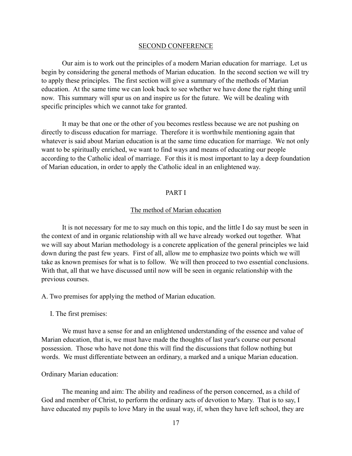#### SECOND CONFERENCE

 Our aim is to work out the principles of a modern Marian education for marriage. Let us begin by considering the general methods of Marian education. In the second section we will try to apply these principles. The first section will give a summary of the methods of Marian education. At the same time we can look back to see whether we have done the right thing until now. This summary will spur us on and inspire us for the future. We will be dealing with specific principles which we cannot take for granted.

 It may be that one or the other of you becomes restless because we are not pushing on directly to discuss education for marriage. Therefore it is worthwhile mentioning again that whatever is said about Marian education is at the same time education for marriage. We not only want to be spiritually enriched, we want to find ways and means of educating our people according to the Catholic ideal of marriage. For this it is most important to lay a deep foundation of Marian education, in order to apply the Catholic ideal in an enlightened way.

#### PART I

#### The method of Marian education

 It is not necessary for me to say much on this topic, and the little I do say must be seen in the context of and in organic relationship with all we have already worked out together. What we will say about Marian methodology is a concrete application of the general principles we laid down during the past few years. First of all, allow me to emphasize two points which we will take as known premises for what is to follow. We will then proceed to two essential conclusions. With that, all that we have discussed until now will be seen in organic relationship with the previous courses.

A. Two premises for applying the method of Marian education.

I. The first premises:

 We must have a sense for and an enlightened understanding of the essence and value of Marian education, that is, we must have made the thoughts of last year's course our personal possession. Those who have not done this will find the discussions that follow nothing but words. We must differentiate between an ordinary, a marked and a unique Marian education.

#### Ordinary Marian education:

 The meaning and aim: The ability and readiness of the person concerned, as a child of God and member of Christ, to perform the ordinary acts of devotion to Mary. That is to say, I have educated my pupils to love Mary in the usual way, if, when they have left school, they are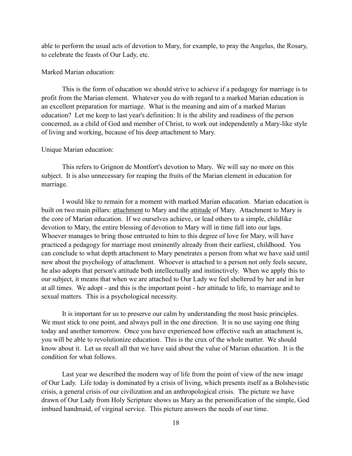able to perform the usual acts of devotion to Mary, for example, to pray the Angelus, the Rosary, to celebrate the feasts of Our Lady, etc.

#### Marked Marian education:

 This is the form of education we should strive to achieve if a pedagogy for marriage is to profit from the Marian element. Whatever you do with regard to a marked Marian education is an excellent preparation for marriage. What is the meaning and aim of a marked Marian education? Let me keep to last year's definition: It is the ability and readiness of the person concerned, as a child of God and member of Christ, to work out independently a Mary-like style of living and working, because of his deep attachment to Mary.

#### Unique Marian education:

 This refers to Grignon de Montfort's devotion to Mary. We will say no more on this subject. It is also unnecessary for reaping the fruits of the Marian element in education for marriage.

 I would like to remain for a moment with marked Marian education. Marian education is built on two main pillars: attachment to Mary and the attitude of Mary. Attachment to Mary is the core of Marian education. If we ourselves achieve, or lead others to a simple, childlike devotion to Mary, the entire blessing of devotion to Mary will in time fall into our laps. Whoever manages to bring those entrusted to him to this degree of love for Mary, will have practiced a pedagogy for marriage most eminently already from their earliest, childhood. You can conclude to what depth attachment to Mary penetrates a person from what we have said until now about the psychology of attachment. Whoever is attached to a person not only feels secure, he also adopts that person's attitude both intellectually and instinctively. When we apply this to our subject, it means that when we are attached to Our Lady we feel sheltered by her and in her at all times. We adopt - and this is the important point - her attitude to life, to marriage and to sexual matters. This is a psychological necessity.

 It is important for us to preserve our calm by understanding the most basic principles. We must stick to one point, and always pull in the one direction. It is no use saying one thing today and another tomorrow. Once you have experienced how effective such an attachment is, you will be able to revolutionize education. This is the crux of the whole matter. We should know about it. Let us recall all that we have said about the value of Marian education. It is the condition for what follows.

 Last year we described the modern way of life from the point of view of the new image of Our Lady. Life today is dominated by a crisis of living, which presents itself as a Bolshevistic crisis, a general crisis of our civilization and an anthropological crisis. The picture we have drawn of Our Lady from Holy Scripture shows us Mary as the personification of the simple, God imbued handmaid, of virginal service. This picture answers the needs of our time.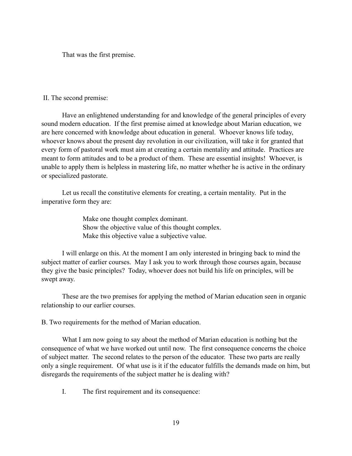That was the first premise.

#### II. The second premise:

 Have an enlightened understanding for and knowledge of the general principles of every sound modern education. If the first premise aimed at knowledge about Marian education, we are here concerned with knowledge about education in general. Whoever knows life today, whoever knows about the present day revolution in our civilization, will take it for granted that every form of pastoral work must aim at creating a certain mentality and attitude. Practices are meant to form attitudes and to be a product of them. These are essential insights! Whoever, is unable to apply them is helpless in mastering life, no matter whether he is active in the ordinary or specialized pastorate.

 Let us recall the constitutive elements for creating, a certain mentality. Put in the imperative form they are:

> Make one thought complex dominant. Show the objective value of this thought complex. Make this objective value a subjective value.

 I will enlarge on this. At the moment I am only interested in bringing back to mind the subject matter of earlier courses. May I ask you to work through those courses again, because they give the basic principles? Today, whoever does not build his life on principles, will be swept away.

 These are the two premises for applying the method of Marian education seen in organic relationship to our earlier courses.

B. Two requirements for the method of Marian education.

 What I am now going to say about the method of Marian education is nothing but the consequence of what we have worked out until now. The first consequence concerns the choice of subject matter. The second relates to the person of the educator. These two parts are really only a single requirement. Of what use is it if the educator fulfills the demands made on him, but disregards the requirements of the subject matter he is dealing with?

I. The first requirement and its consequence: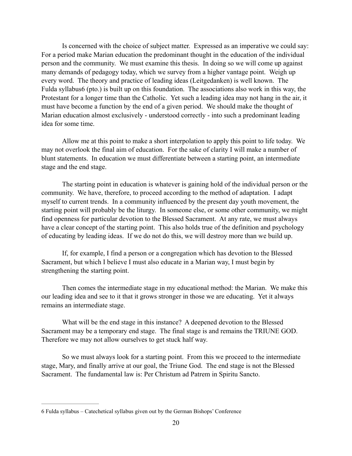Is concerned with the choice of subject matter. Expressed as an imperative we could say: For a period make Marian education the predominant thought in the education of the individual person and the community. We must examine this thesis. In doing so we will come up against many demands of pedagogy today, which we survey from a higher vantage point. Weigh up every word. The theory and practice of leading ideas (Leitgedanken) is well known. The Fulda syllabus (pto.) is built up on this foundation. The associations also work in this way, the Protestant for a longer time than the Catholic. Yet such a leading idea may not hang in the air, it must have become a function by the end of a given period. We should make the thought of Marian education almost exclusively - understood correctly - into such a predominant leading idea for some time.

 Allow me at this point to make a short interpolation to apply this point to life today. We may not overlook the final aim of education. For the sake of clarity I will make a number of blunt statements. In education we must differentiate between a starting point, an intermediate stage and the end stage.

 The starting point in education is whatever is gaining hold of the individual person or the community. We have, therefore, to proceed according to the method of adaptation. I adapt myself to current trends. In a community influenced by the present day youth movement, the starting point will probably be the liturgy. In someone else, or some other community, we might find openness for particular devotion to the Blessed Sacrament. At any rate, we must always have a clear concept of the starting point. This also holds true of the definition and psychology of educating by leading ideas. If we do not do this, we will destroy more than we build up.

 If, for example, I find a person or a congregation which has devotion to the Blessed Sacrament, but which I believe I must also educate in a Marian way, I must begin by strengthening the starting point.

 Then comes the intermediate stage in my educational method: the Marian. We make this our leading idea and see to it that it grows stronger in those we are educating. Yet it always remains an intermediate stage.

 What will be the end stage in this instance? A deepened devotion to the Blessed Sacrament may be a temporary end stage. The final stage is and remains the TRIUNE GOD. Therefore we may not allow ourselves to get stuck half way.

 So we must always look for a starting point. From this we proceed to the intermediate stage, Mary, and finally arrive at our goal, the Triune God. The end stage is not the Blessed Sacrament. The fundamental law is: Per Christum ad Patrem in Spiritu Sancto.

<sup>6</sup> Fulda syllabus – Catechetical syllabus given out by the German Bishops' Conference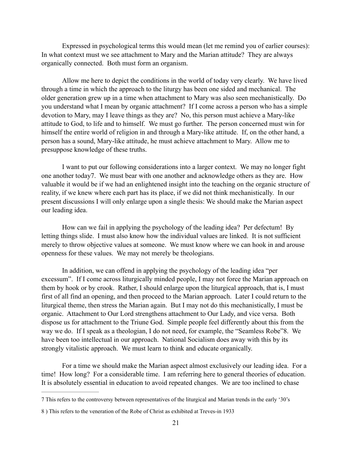Expressed in psychological terms this would mean (let me remind you of earlier courses): In what context must we see attachment to Mary and the Marian attitude? They are always organically connected. Both must form an organism.

 Allow me here to depict the conditions in the world of today very clearly. We have lived through a time in which the approach to the liturgy has been one sided and mechanical. The older generation grew up in a time when attachment to Mary was also seen mechanistically. Do you understand what I mean by organic attachment? If I come across a person who has a simple devotion to Mary, may I leave things as they are? No, this person must achieve a Mary-like attitude to God, to life and to himself. We must go further. The person concerned must win for himself the entire world of religion in and through a Mary-like attitude. If, on the other hand, a person has a sound, Mary-like attitude, he must achieve attachment to Mary. Allow me to presuppose knowledge of these truths.

 I want to put our following considerations into a larger context. We may no longer fight one another today7. We must bear with one another and acknowledge others as they are. How valuable it would be if we had an enlightened insight into the teaching on the organic structure of reality, if we knew where each part has its place, if we did not think mechanistically. In our present discussions I will only enlarge upon a single thesis: We should make the Marian aspect our leading idea.

 How can we fail in applying the psychology of the leading idea? Per defectum! By letting things slide. I must also know how the individual values are linked. It is not sufficient merely to throw objective values at someone. We must know where we can hook in and arouse openness for these values. We may not merely be theologians.

 In addition, we can offend in applying the psychology of the leading idea "per excessum". If I come across liturgically minded people, I may not force the Marian approach on them by hook or by crook. Rather, I should enlarge upon the liturgical approach, that is, I must first of all find an opening, and then proceed to the Marian approach. Later I could return to the liturgical theme, then stress the Marian again. But I may not do this mechanistically, I must be organic. Attachment to Our Lord strengthens attachment to Our Lady, and vice versa. Both dispose us for attachment to the Triune God. Simple people feel differently about this from the way we do. If I speak as a theologian, I do not need, for example, the "Seamless Robe"8. We have been too intellectual in our approach. National Socialism does away with this by its strongly vitalistic approach. We must learn to think and educate organically.

 For a time we should make the Marian aspect almost exclusively our leading idea. For a time! How long? For a considerable time. I am referring here to general theories of education. It is absolutely essential in education to avoid repeated changes. We are too inclined to chase

<sup>7</sup> This refers to the controversy between representatives of the liturgical and Marian trends in the early '30's

<sup>8</sup> ) This refers to the veneration of the Robe of Christ as exhibited at Treves-in 1933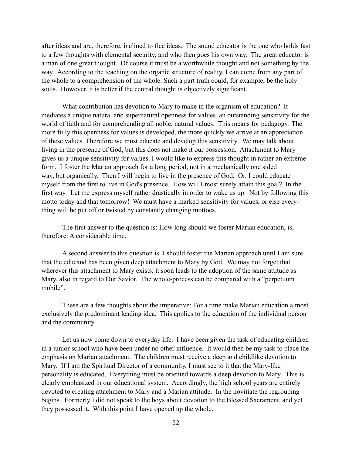after ideas and are, therefore, inclined to flee ideas. The sound educator is the one who holds fast to a few thoughts with elemental security, and who then goes his own way. The great educator is a man of one great thought. Of course it must be a worthwhile thought and not something by the way. According to the teaching on the organic structure of reality, I can come from any part of the whole to a comprehension of the whole. Such a part truth could, for example, be the holy souls. However, it is better if the central thought is objectively significant.

 What contribution has devotion to Mary to make in the organism of education? It mediates a unique natural and supernatural openness for values, an outstanding sensitivity for the world of faith and for comprehending all noble, natural values. This means for pedagogy: The more fully this openness for values is developed, the more quickly we arrive at an appreciation of these values. Therefore we must educate and develop this sensitivity. We may talk about living in the presence of God, but this does not make it our possession. Attachment to Mary gives us a unique sensitivity for values. I would like to express this thought in rather an extreme form. I foster the Marian approach for a long period, not in a mechanically one sided way, but organically. Then I will begin to live in the presence of God. Or, I could educate myself from the first to live in God's presence. How will I most surely attain this goal? In the first way. Let me express myself rather drastically in order to wake us up. Not by following this motto today and that tomorrow! We must have a marked sensitivity for values, or else everything will be put off or twisted by constantly changing mottoes.

 The first answer to the question is: How long should we foster Marian education, is, therefore: A considerable time.

 A second answer to this question is: I should foster the Marian approach until I am sure that the educand has been given deep attachment to Mary by God. We may not forget that wherever this attachment to Mary exists, it soon leads to the adoption of the same attitude as Mary, also in regard to Our Savior. The whole-process can be compared with a "perpetuum mobile".

 These are a few thoughts about the imperative: For a time make Marian education almost exclusively the predominant leading idea. This applies to the education of the individual person and the community.

 Let us now come down to everyday life. I have been given the task of educating children in a junior school who have been under no other influence. It would then be my task to place the emphasis on Marian attachment. The children must receive a deep and childlike devotion to Mary. If I am the Spiritual Director of a community, I must see to it that the Mary-like personality is educated. Everything must be oriented towards a deep devotion to Mary. This is clearly emphasized in our educational system. Accordingly, the high school years are entirely devoted to creating attachment to Mary and a Marian attitude. In the novitiate the regrouping begins. Formerly I did not speak to the boys about devotion to the Blessed Sacrament, and yet they possessed it. With this point I have opened up the whole.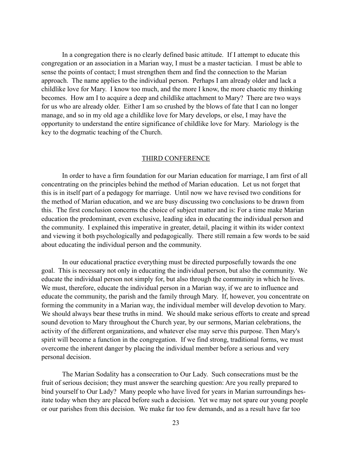In a congregation there is no clearly defined basic attitude. If I attempt to educate this congregation or an association in a Marian way, I must be a master tactician. I must be able to sense the points of contact; I must strengthen them and find the connection to the Marian approach. The name applies to the individual person. Perhaps I am already older and lack a childlike love for Mary. I know too much, and the more I know, the more chaotic my thinking becomes. How am I to acquire a deep and childlike attachment to Mary? There are two ways for us who are already older. Either I am so crushed by the blows of fate that I can no longer manage, and so in my old age a childlike love for Mary develops, or else, I may have the opportunity to understand the entire significance of childlike love for Mary. Mariology is the key to the dogmatic teaching of the Church.

#### THIRD CONFERENCE

 In order to have a firm foundation for our Marian education for marriage, I am first of all concentrating on the principles behind the method of Marian education. Let us not forget that this is in itself part of a pedagogy for marriage. Until now we have revised two conditions for the method of Marian education, and we are busy discussing two conclusions to be drawn from this. The first conclusion concerns the choice of subject matter and is: For a time make Marian education the predominant, even exclusive, leading idea in educating the individual person and the community. I explained this imperative in greater, detail, placing it within its wider context and viewing it both psychologically and pedagogically. There still remain a few words to be said about educating the individual person and the community.

 In our educational practice everything must be directed purposefully towards the one goal. This is necessary not only in educating the individual person, but also the community. We educate the individual person not simply for, but also through the community in which he lives. We must, therefore, educate the individual person in a Marian way, if we are to influence and educate the community, the parish and the family through Mary. If, however, you concentrate on forming the community in a Marian way, the individual member will develop devotion to Mary. We should always bear these truths in mind. We should make serious efforts to create and spread sound devotion to Mary throughout the Church year, by our sermons, Marian celebrations, the activity of the different organizations, and whatever else may serve this purpose. Then Mary's spirit will become a function in the congregation. If we find strong, traditional forms, we must overcome the inherent danger by placing the individual member before a serious and very personal decision.

 The Marian Sodality has a consecration to Our Lady. Such consecrations must be the fruit of serious decision; they must answer the searching question: Are you really prepared to bind yourself to Our Lady? Many people who have lived for years in Marian surroundings hesitate today when they are placed before such a decision. Yet we may not spare our young people or our parishes from this decision. We make far too few demands, and as a result have far too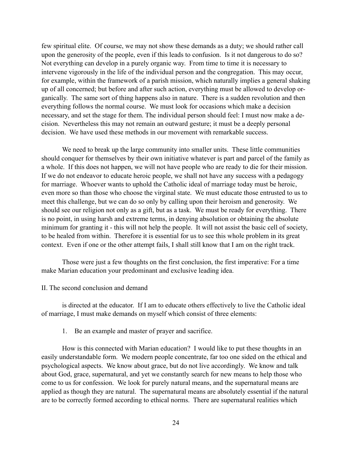few spiritual elite. Of course, we may not show these demands as a duty; we should rather call upon the generosity of the people, even if this leads to confusion. Is it not dangerous to do so? Not everything can develop in a purely organic way. From time to time it is necessary to intervene vigorously in the life of the individual person and the congregation. This may occur, for example, within the framework of a parish mission, which naturally implies a general shaking up of all concerned; but before and after such action, everything must be allowed to develop organically. The same sort of thing happens also in nature. There is a sudden revolution and then everything follows the normal course. We must look for occasions which make a decision necessary, and set the stage for them. The individual person should feel: I must now make a decision. Nevertheless this may not remain an outward gesture; it must be a deeply personal decision. We have used these methods in our movement with remarkable success.

 We need to break up the large community into smaller units. These little communities should conquer for themselves by their own initiative whatever is part and parcel of the family as a whole. If this does not happen, we will not have people who are ready to die for their mission. If we do not endeavor to educate heroic people, we shall not have any success with a pedagogy for marriage. Whoever wants to uphold the Catholic ideal of marriage today must be heroic, even more so than those who choose the virginal state. We must educate those entrusted to us to meet this challenge, but we can do so only by calling upon their heroism and generosity. We should see our religion not only as a gift, but as a task. We must be ready for everything. There is no point, in using harsh and extreme terms, in denying absolution or obtaining the absolute minimum for granting it - this will not help the people. It will not assist the basic cell of society, to be healed from within. Therefore it is essential for us to see this whole problem in its great context. Even if one or the other attempt fails, I shall still know that I am on the right track.

 Those were just a few thoughts on the first conclusion, the first imperative: For a time make Marian education your predominant and exclusive leading idea.

#### II. The second conclusion and demand

 is directed at the educator. If I am to educate others effectively to live the Catholic ideal of marriage, I must make demands on myself which consist of three elements:

#### 1. Be an example and master of prayer and sacrifice.

 How is this connected with Marian education? I would like to put these thoughts in an easily understandable form. We modern people concentrate, far too one sided on the ethical and psychological aspects. We know about grace, but do not live accordingly. We know and talk about God, grace, supernatural, and yet we constantly search for new means to help those who come to us for confession. We look for purely natural means, and the supernatural means are applied as though they are natural. The supernatural means are absolutely essential if the natural are to be correctly formed according to ethical norms. There are supernatural realities which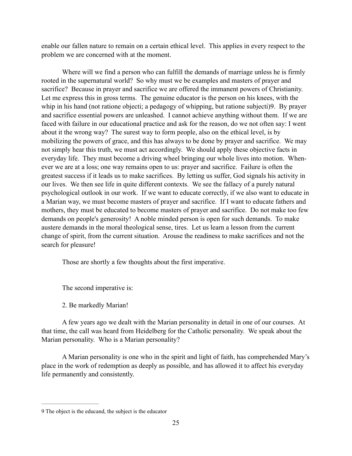enable our fallen nature to remain on a certain ethical level. This applies in every respect to the problem we are concerned with at the moment.

 Where will we find a person who can fulfill the demands of marriage unless he is firmly rooted in the supernatural world? So why must we be examples and masters of prayer and sacrifice? Because in prayer and sacrifice we are offered the immanent powers of Christianity. Let me express this in gross terms. The genuine educator is the person on his knees, with the whip in his hand (not ratione objecti; a pedagogy of whipping, but ratione subjecti)9. By prayer and sacrifice essential powers are unleashed. I cannot achieve anything without them. If we are faced with failure in our educational practice and ask for the reason, do we not often say: I went about it the wrong way? The surest way to form people, also on the ethical level, is by mobilizing the powers of grace, and this has always to be done by prayer and sacrifice. We may not simply hear this truth, we must act accordingly. We should apply these objective facts in everyday life. They must become a driving wheel bringing our whole lives into motion. Whenever we are at a loss; one way remains open to us: prayer and sacrifice. Failure is often the greatest success if it leads us to make sacrifices. By letting us suffer, God signals his activity in our lives. We then see life in quite different contexts. We see the fallacy of a purely natural psychological outlook in our work. If we want to educate correctly, if we also want to educate in a Marian way, we must become masters of prayer and sacrifice. If I want to educate fathers and mothers, they must be educated to become masters of prayer and sacrifice. Do not make too few demands on people's generosity! A noble minded person is open for such demands. To make austere demands in the moral theological sense, tires. Let us learn a lesson from the current change of spirit, from the current situation. Arouse the readiness to make sacrifices and not the search for pleasure!

Those are shortly a few thoughts about the first imperative.

The second imperative is:

2. Be markedly Marian!

 A few years ago we dealt with the Marian personality in detail in one of our courses. At that time, the call was heard from Heidelberg for the Catholic personality. We speak about the Marian personality. Who is a Marian personality?

 A Marian personality is one who in the spirit and light of faith, has comprehended Mary's place in the work of redemption as deeply as possible, and has allowed it to affect his everyday life permanently and consistently.

<sup>9</sup> The object is the educand, the subject is the educator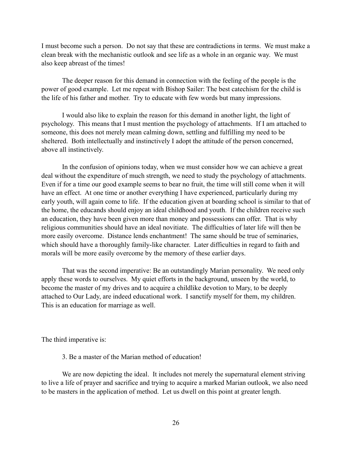I must become such a person. Do not say that these are contradictions in terms. We must make a clean break with the mechanistic outlook and see life as a whole in an organic way. We must also keep abreast of the times!

 The deeper reason for this demand in connection with the feeling of the people is the power of good example. Let me repeat with Bishop Sailer: The best catechism for the child is the life of his father and mother. Try to educate with few words but many impressions.

 I would also like to explain the reason for this demand in another light, the light of psychology. This means that I must mention the psychology of attachments. If I am attached to someone, this does not merely mean calming down, settling and fulfilling my need to be sheltered. Both intellectually and instinctively I adopt the attitude of the person concerned, above all instinctively.

 In the confusion of opinions today, when we must consider how we can achieve a great deal without the expenditure of much strength, we need to study the psychology of attachments. Even if for a time our good example seems to bear no fruit, the time will still come when it will have an effect. At one time or another everything I have experienced, particularly during my early youth, will again come to life. If the education given at boarding school is similar to that of the home, the educands should enjoy an ideal childhood and youth. If the children receive such an education, they have been given more than money and possessions can offer. That is why religious communities should have an ideal novitiate. The difficulties of later life will then be more easily overcome. Distance lends enchantment! The same should be true of seminaries, which should have a thoroughly family-like character. Later difficulties in regard to faith and morals will be more easily overcome by the memory of these earlier days.

 That was the second imperative: Be an outstandingly Marian personality. We need only apply these words to ourselves. My quiet efforts in the background, unseen by the world, to become the master of my drives and to acquire a childlike devotion to Mary, to be deeply attached to Our Lady, are indeed educational work. I sanctify myself for them, my children. This is an education for marriage as well.

The third imperative is:

3. Be a master of the Marian method of education!

 We are now depicting the ideal. It includes not merely the supernatural element striving to live a life of prayer and sacrifice and trying to acquire a marked Marian outlook, we also need to be masters in the application of method. Let us dwell on this point at greater length.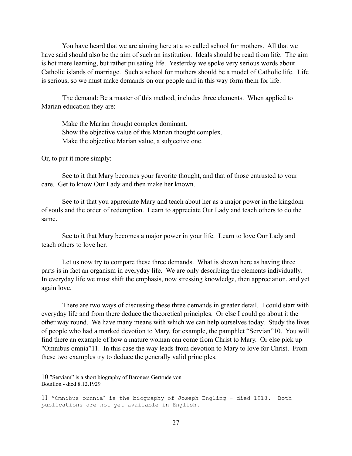You have heard that we are aiming here at a so called school for mothers. All that we have said should also be the aim of such an institution. Ideals should be read from life. The aim is hot mere learning, but rather pulsating life. Yesterday we spoke very serious words about Catholic islands of marriage. Such a school for mothers should be a model of Catholic life. Life is serious, so we must make demands on our people and in this way form them for life.

 The demand: Be a master of this method, includes three elements. When applied to Marian education they are:

 Make the Marian thought complex dominant. Show the objective value of this Marian thought complex. Make the objective Marian value, a subjective one.

Or, to put it more simply:

 See to it that Mary becomes your favorite thought, and that of those entrusted to your care. Get to know Our Lady and then make her known.

 See to it that you appreciate Mary and teach about her as a major power in the kingdom of souls and the order of redemption. Learn to appreciate Our Lady and teach others to do the same.

See to it that Mary becomes a major power in your life. Learn to love Our Lady and teach others to love her.

 Let us now try to compare these three demands. What is shown here as having three parts is in fact an organism in everyday life. We are only describing the elements individually. In everyday life we must shift the emphasis, now stressing knowledge, then appreciation, and yet again love.

 There are two ways of discussing these three demands in greater detail. I could start with everyday life and from there deduce the theoretical principles. Or else I could go about it the other way round. We have many means with which we can help ourselves today. Study the lives of people who had a marked devotion to Mary, for example, the pamphlet "Servian" 10. You will find there an example of how a mature woman can come from Christ to Mary. Or else pick up "Omnibus omnia"11. In this case the way leads from devotion to Mary to love for Christ. From these two examples try to deduce the generally valid principles.

<sup>10 &</sup>quot;Serviam" is a short biography of Baroness Gertrude von Bouillon - died 8.12.1929

<sup>11</sup> "Omnibus ornnia" is the biography of Joseph Engling - died 1918. Both publications are not yet available in English.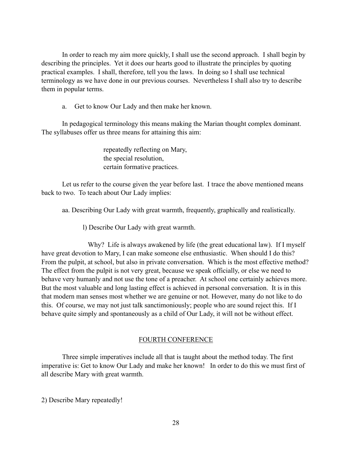In order to reach my aim more quickly, I shall use the second approach. I shall begin by describing the principles. Yet it does our hearts good to illustrate the principles by quoting practical examples. I shall, therefore, tell you the laws. In doing so I shall use technical terminology as we have done in our previous courses. Nevertheless I shall also try to describe them in popular terms.

a. Get to know Our Lady and then make her known.

 In pedagogical terminology this means making the Marian thought complex dominant. The syllabuses offer us three means for attaining this aim:

> repeatedly reflecting on Mary, the special resolution, certain formative practices.

 Let us refer to the course given the year before last. I trace the above mentioned means back to two. To teach about Our Lady implies:

aa. Describing Our Lady with great warmth, frequently, graphically and realistically.

l) Describe Our Lady with great warmth.

 Why? Life is always awakened by life (the great educational law). If I myself have great devotion to Mary, I can make someone else enthusiastic. When should I do this? From the pulpit, at school, but also in private conversation. Which is the most effective method? The effect from the pulpit is not very great, because we speak officially, or else we need to behave very humanly and not use the tone of a preacher. At school one certainly achieves more. But the most valuable and long lasting effect is achieved in personal conversation. It is in this that modern man senses most whether we are genuine or not. However, many do not like to do this. Of course, we may not just talk sanctimoniously; people who are sound reject this. If I behave quite simply and spontaneously as a child of Our Lady, it will not be without effect.

#### FOURTH CONFERENCE

 Three simple imperatives include all that is taught about the method today. The first imperative is: Get to know Our Lady and make her known! In order to do this we must first of all describe Mary with great warmth.

2) Describe Mary repeatedly!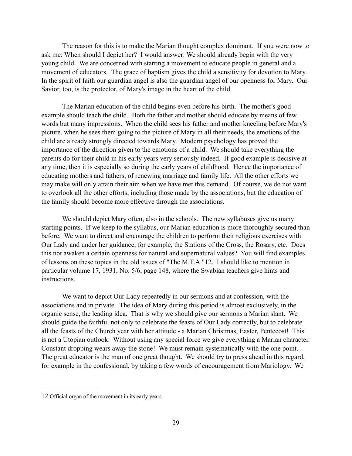The reason for this is to make the Marian thought complex dominant. If you were now to ask me: When should I depict her? I would answer: We should already begin with the very young child. We are concerned with starting a movement to educate people in general and a movement of educators. The grace of baptism gives the child a sensitivity for devotion to Mary. In the spirit of faith our guardian angel is also the guardian angel of our openness for Mary. Our Savior, too, is the protector, of Mary's image in the heart of the child.

 The Marian education of the child begins even before his birth. The mother's good example should teach the child. Both the father and mother should educate by means of few words but many impressions. When the child sees his father and mother kneeling before Mary's picture, when he sees them going to the picture of Mary in all their needs, the emotions of the child are already strongly directed towards Mary. Modern psychology has proved the importance of the direction given to the emotions of a child. We should take everything the parents do for their child in his early years very seriously indeed. If good example is decisive at any time, then it is especially so during the early years of childhood. Hence the importance of educating mothers and fathers, of renewing marriage and family life. All the other efforts we may make will only attain their aim when we have met this demand. Of course, we do not want to overlook all the other efforts, including those made by the associations, but the education of the family should become more effective through the associations.

We should depict Mary often, also in the schools. The new syllabuses give us many starting points. If we keep to the syllabus, our Marian education is more thoroughly secured than before. We want to direct and encourage the children to perform their religious exercises with Our Lady and under her guidance, for example, the Stations of the Cross, the Rosary, etc. Does this not awaken a certain openness for natural and supernatural values? You will find examples of lessons on these topics in the old issues of "The M.T.A."12. I should like to mention in particular volume 17, 1931, No. 5/6, page 148, where the Swabian teachers give hints and instructions.

 We want to depict Our Lady repeatedly in our sermons and at confession, with the associations and in private. The idea of Mary during this period is almost exclusively, in the organic sense, the leading idea. That is why we should give our sermons a Marian slant. We should guide the faithful not only to celebrate the feasts of Our Lady correctly, but to celebrate all the feasts of the Church year with her attitude - a Marian Christmas, Easter, Pentecost! This is not a Utopian outlook. Without using any special force we give everything a Marian character. Constant dropping wears away the stone! We must remain systematically with the one point. The great educator is the man of one great thought. We should try to press ahead in this regard, for example in the confessional, by taking a few words of encouragement from Mariology. We

<sup>12</sup> Official organ of the movement in its early years.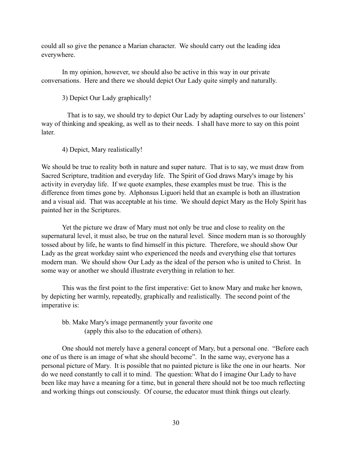could all so give the penance a Marian character. We should carry out the leading idea everywhere.

 In my opinion, however, we should also be active in this way in our private conversations. Here and there we should depict Our Lady quite simply and naturally.

3) Depict Our Lady graphically!

 That is to say, we should try to depict Our Lady by adapting ourselves to our listeners' way of thinking and speaking, as well as to their needs. I shall have more to say on this point **later** 

4) Depict, Mary realistically!

We should be true to reality both in nature and super nature. That is to say, we must draw from Sacred Scripture, tradition and everyday life. The Spirit of God draws Mary's image by his activity in everyday life. If we quote examples, these examples must be true. This is the difference from times gone by. Alphonsus Liguori held that an example is both an illustration and a visual aid. That was acceptable at his time. We should depict Mary as the Holy Spirit has painted her in the Scriptures.

 Yet the picture we draw of Mary must not only be true and close to reality on the supernatural level, it must also, be true on the natural level. Since modern man is so thoroughly tossed about by life, he wants to find himself in this picture. Therefore, we should show Our Lady as the great workday saint who experienced the needs and everything else that tortures modern man. We should show Our Lady as the ideal of the person who is united to Christ. In some way or another we should illustrate everything in relation to her.

 This was the first point to the first imperative: Get to know Mary and make her known, by depicting her warmly, repeatedly, graphically and realistically. The second point of the imperative is:

## bb. Make Mary's image permanently your favorite one (apply this also to the education of others).

 One should not merely have a general concept of Mary, but a personal one. "Before each one of us there is an image of what she should become". In the same way, everyone has a personal picture of Mary. It is possible that no painted picture is like the one in our hearts. Nor do we need constantly to call it to mind. The question: What do I imagine Our Lady to have been like may have a meaning for a time, but in general there should not be too much reflecting and working things out consciously. Of course, the educator must think things out clearly.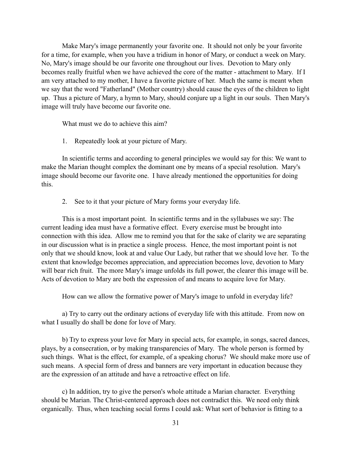Make Mary's image permanently your favorite one. It should not only be your favorite for a time, for example, when you have a tridium in honor of Mary, or conduct a week on Mary. No, Mary's image should be our favorite one throughout our lives. Devotion to Mary only becomes really fruitful when we have achieved the core of the matter - attachment to Mary. If I am very attached to my mother, I have a favorite picture of her. Much the same is meant when we say that the word "Fatherland" (Mother country) should cause the eyes of the children to light up. Thus a picture of Mary, a hymn to Mary, should conjure up a light in our souls. Then Mary's image will truly have become our favorite one.

What must we do to achieve this aim?

1. Repeatedly look at your picture of Mary.

 In scientific terms and according to general principles we would say for this: We want to make the Marian thought complex the dominant one by means of a special resolution. Mary's image should become our favorite one. I have already mentioned the opportunities for doing this.

2. See to it that your picture of Mary forms your everyday life.

 This is a most important point. In scientific terms and in the syllabuses we say: The current leading idea must have a formative effect. Every exercise must be brought into connection with this idea. Allow me to remind you that for the sake of clarity we are separating in our discussion what is in practice a single process. Hence, the most important point is not only that we should know, look at and value Our Lady, but rather that we should love her. To the extent that knowledge becomes appreciation, and appreciation becomes love, devotion to Mary will bear rich fruit. The more Mary's image unfolds its full power, the clearer this image will be. Acts of devotion to Mary are both the expression of and means to acquire love for Mary.

How can we allow the formative power of Mary's image to unfold in everyday life?

a) Try to carry out the ordinary actions of everyday life with this attitude. From now on what I usually do shall be done for love of Mary.

 b) Try to express your love for Mary in special acts, for example, in songs, sacred dances, plays, by a consecration, or by making transparencies of Mary. The whole person is formed by such things. What is the effect, for example, of a speaking chorus? We should make more use of such means. A special form of dress and banners are very important in education because they are the expression of an attitude and have a retroactive effect on life.

 c) In addition, try to give the person's whole attitude a Marian character. Everything should be Marian. The Christ-centered approach does not contradict this. We need only think organically. Thus, when teaching social forms I could ask: What sort of behavior is fitting to a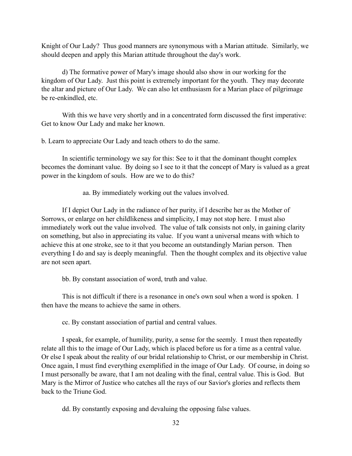Knight of Our Lady? Thus good manners are synonymous with a Marian attitude. Similarly, we should deepen and apply this Marian attitude throughout the day's work.

 d) The formative power of Mary's image should also show in our working for the kingdom of Our Lady. Just this point is extremely important for the youth. They may decorate the altar and picture of Our Lady. We can also let enthusiasm for a Marian place of pilgrimage be re-enkindled, etc.

 With this we have very shortly and in a concentrated form discussed the first imperative: Get to know Our Lady and make her known.

b. Learn to appreciate Our Lady and teach others to do the same.

 In scientific terminology we say for this: See to it that the dominant thought complex becomes the dominant value. By doing so I see to it that the concept of Mary is valued as a great power in the kingdom of souls. How are we to do this?

aa. By immediately working out the values involved.

If I depict Our Lady in the radiance of her purity, if I describe her as the Mother of Sorrows, or enlarge on her childlikeness and simplicity, I may not stop here. I must also immediately work out the value involved. The value of talk consists not only, in gaining clarity on something, but also in appreciating its value. If you want a universal means with which to achieve this at one stroke, see to it that you become an outstandingly Marian person. Then everything I do and say is deeply meaningful. Then the thought complex and its objective value are not seen apart.

bb. By constant association of word, truth and value.

 This is not difficult if there is a resonance in one's own soul when a word is spoken. I then have the means to achieve the same in others.

cc. By constant association of partial and central values.

 I speak, for example, of humility, purity, a sense for the seemly. I must then repeatedly relate all this to the image of Our Lady, which is placed before us for a time as a central value. Or else I speak about the reality of our bridal relationship to Christ, or our membership in Christ. Once again, I must find everything exemplified in the image of Our Lady. Of course, in doing so I must personally be aware, that I am not dealing with the final, central value. This is God. But Mary is the Mirror of Justice who catches all the rays of our Savior's glories and reflects them back to the Triune God.

dd. By constantly exposing and devaluing the opposing false values.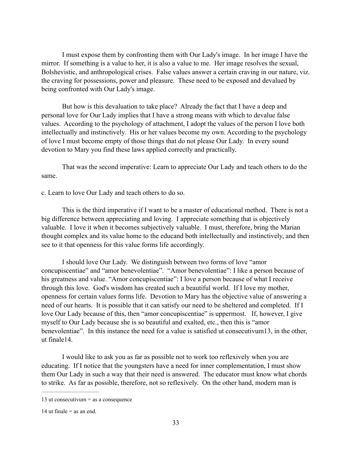I must expose them by confronting them with Our Lady's image. In her image I have the mirror. If something is a value to her, it is also a value to me. Her image resolves the sexual, Bolshevistic, and anthropological crises. False values answer a certain craving in our nature, viz. the craving for possessions, power and pleasure. These need to be exposed and devalued by being confronted with Our Lady's image.

 But how is this devaluation to take place? Already the fact that I have a deep and personal love for Our Lady implies that I have a strong means with which to devalue false values. According to the psychology of attachment, I adopt the values of the person I love both intellectually and instinctively. His or her values become my own. According to the psychology of love I must become empty of those things that do not please Our Lady. In every sound devotion to Mary you find these laws applied correctly and practically.

 That was the second imperative: Learn to appreciate Our Lady and teach others to do the same.

c. Learn to love Our Lady and teach others to do so.

 This is the third imperative if I want to be a master of educational method. There is not a big difference between appreciating and loving. I appreciate something that is objectively valuable. I love it when it becomes subjectively valuable. I must, therefore, bring the Marian thought complex and its value home to the educand both intellectually and instinctively, and then see to it that openness for this value forms life accordingly.

 I should love Our Lady. We distinguish between two forms of love "amor concupiscentiae" and "amor benevolentiae". "Amor benevolentiae": I like a person because of his greatness and value. "Amor concupiscentiae": I love a person because of what I receive through this love. God's wisdom has created such a beautiful world. If I love my mother, openness for certain values forms life. Devotion to Mary has the objective value of answering a need of our hearts. It is possible that it can satisfy our need to be sheltered and completed. If I love Our Lady because of this, then "amor concupiscentiae" is uppermost. If, however, I give myself to Our Lady because she is so beautiful and exalted, etc., then this is "amor benevolentiae". In this instance the need for a value is satisfied ut consecutivum 13, in the other, ut finale<sup>14</sup>.

 I would like to ask you as far as possible not to work too reflexively when you are educating. If I notice that the youngsters have a need for inner complementation, I must show them Our Lady in such a way that their need is answered. The educator must know what chords to strike. As far as possible, therefore, not so reflexively. On the other hand, modern man is

<sup>13</sup> ut consecutivum  $=$  as a consequence

<sup>14</sup> ut finale  $=$  as an end.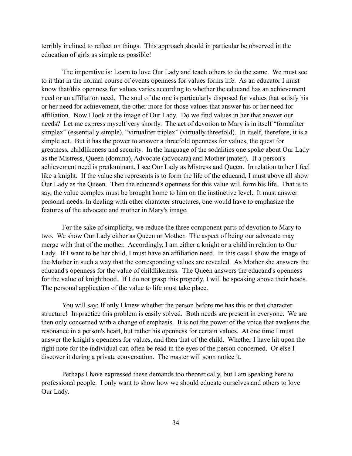terribly inclined to reflect on things. This approach should in particular be observed in the education of girls as simple as possible!

 The imperative is: Learn to love Our Lady and teach others to do the same. We must see to it that in the normal course of events openness for values forms life. As an educator I must know that/this openness for values varies according to whether the educand has an achievement need or an affiliation need. The soul of the one is particularly disposed for values that satisfy his or her need for achievement, the other more for those values that answer his or her need for affiliation. Now I look at the image of Our Lady. Do we find values in her that answer our needs? Let me express myself very shortly. The act of devotion to Mary is in itself "formaliter simplex" (essentially simple), "virtualiter triplex" (virtually threefold). In itself, therefore, it is a simple act. But it has the power to answer a threefold openness for values, the quest for greatness, childlikeness and security. In the language of the sodalities one spoke about Our Lady as the Mistress, Queen (domina), Advocate (advocata) and Mother (mater). If a person's achievement need is predominant, I see Our Lady as Mistress and Queen. In relation to her I feel like a knight. If the value she represents is to form the life of the educand, I must above all show Our Lady as the Queen. Then the educand's openness for this value will form his life. That is to say, the value complex must be brought home to him on the instinctive level. It must answer personal needs. In dealing with other character structures, one would have to emphasize the features of the advocate and mother in Mary's image.

 For the sake of simplicity, we reduce the three component parts of devotion to Mary to two. We show Our Lady either as **Queen** or Mother. The aspect of being our advocate may merge with that of the mother. Accordingly, I am either a knight or a child in relation to Our Lady. If I want to be her child, I must have an affiliation need. In this case I show the image of the Mother in such a way that the corresponding values are revealed. As Mother she answers the educand's openness for the value of childlikeness. The Queen answers the educand's openness for the value of knighthood. If I do not grasp this properly, I will be speaking above their heads. The personal application of the value to life must take place.

 You will say: If only I knew whether the person before me has this or that character structure! In practice this problem is easily solved. Both needs are present in everyone. We are then only concerned with a change of emphasis. It is not the power of the voice that awakens the resonance in a person's heart, but rather his openness for certain values. At one time I must answer the knight's openness for values, and then that of the child. Whether I have hit upon the right note for the individual can often be read in the eyes of the person concerned. Or else I discover it during a private conversation. The master will soon notice it.

 Perhaps I have expressed these demands too theoretically, but I am speaking here to professional people. I only want to show how we should educate ourselves and others to love Our Lady.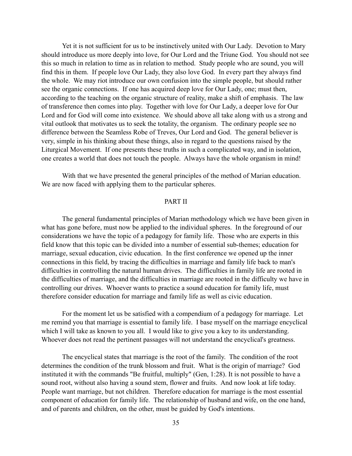Yet it is not sufficient for us to be instinctively united with Our Lady. Devotion to Mary should introduce us more deeply into love, for Our Lord and the Triune God. You should not see this so much in relation to time as in relation to method. Study people who are sound, you will find this in them. If people love Our Lady, they also love God. In every part they always find the whole. We may riot introduce our own confusion into the simple people, but should rather see the organic connections. If one has acquired deep love for Our Lady, one; must then, according to the teaching on the organic structure of reality, make a shift of emphasis. The law of transference then comes into play. Together with love for Our Lady, a deeper love for Our Lord and for God will come into existence. We should above all take along with us a strong and vital outlook that motivates us to seek the totality, the organism. The ordinary people see no difference between the Seamless Robe of Treves, Our Lord and God. The general believer is very, simple in his thinking about these things, also in regard to the questions raised by the Liturgical Movement. If one presents these truths in such a complicated way, and in isolation, one creates a world that does not touch the people. Always have the whole organism in mind!

 With that we have presented the general principles of the method of Marian education. We are now faced with applying them to the particular spheres.

#### PART II

 The general fundamental principles of Marian methodology which we have been given in what has gone before, must now be applied to the individual spheres. In the foreground of our considerations we have the topic of a pedagogy for family life. Those who are experts in this field know that this topic can be divided into a number of essential sub-themes; education for marriage, sexual education, civic education. In the first conference we opened up the inner connections in this field, by tracing the difficulties in marriage and family life back to man's difficulties in controlling the natural human drives. The difficulties in family life are rooted in the difficulties of marriage, and the difficulties in marriage are rooted in the difficulty we have in controlling our drives. Whoever wants to practice a sound education for family life, must therefore consider education for marriage and family life as well as civic education.

 For the moment let us be satisfied with a compendium of a pedagogy for marriage. Let me remind you that marriage is essential to family life. I base myself on the marriage encyclical which I will take as known to you all. I would like to give you a key to its understanding. Whoever does not read the pertinent passages will not understand the encyclical's greatness.

 The encyclical states that marriage is the root of the family. The condition of the root determines the condition of the trunk blossom and fruit. What is the origin of marriage? God instituted it with the commands "Be fruitful, multiply" (Gen, 1:28). It is not possible to have a sound root, without also having a sound stem, flower and fruits. And now look at life today. People want marriage, but not children. Therefore education for marriage is the most essential component of education for family life. The relationship of husband and wife, on the one hand, and of parents and children, on the other, must be guided by God's intentions.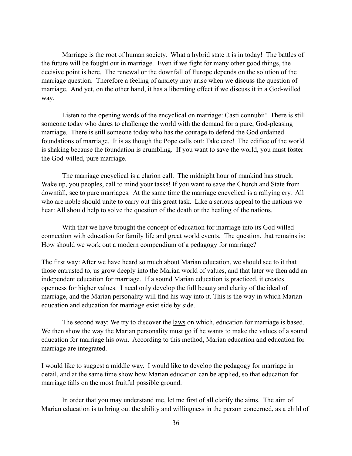Marriage is the root of human society. What a hybrid state it is in today! The battles of the future will be fought out in marriage. Even if we fight for many other good things, the decisive point is here. The renewal or the downfall of Europe depends on the solution of the marriage question. Therefore a feeling of anxiety may arise when we discuss the question of marriage. And yet, on the other hand, it has a liberating effect if we discuss it in a God-willed way.

 Listen to the opening words of the encyclical on marriage: Casti connubii! There is still someone today who dares to challenge the world with the demand for a pure, God-pleasing marriage. There is still someone today who has the courage to defend the God ordained foundations of marriage. It is as though the Pope calls out: Take care! The edifice of the world is shaking because the foundation is crumbling. If you want to save the world, you must foster the God-willed, pure marriage.

 The marriage encyclical is a clarion call. The midnight hour of mankind has struck. Wake up, you peoples, call to mind your tasks! If you want to save the Church and State from downfall, see to pure marriages. At the same time the marriage encyclical is a rallying cry. All who are noble should unite to carry out this great task. Like a serious appeal to the nations we hear: All should help to solve the question of the death or the healing of the nations.

 With that we have brought the concept of education for marriage into its God willed connection with education for family life and great world events. The question, that remains is: How should we work out a modern compendium of a pedagogy for marriage?

The first way: After we have heard so much about Marian education, we should see to it that those entrusted to, us grow deeply into the Marian world of values, and that later we then add an independent education for marriage. If a sound Marian education is practiced, it creates openness for higher values. I need only develop the full beauty and clarity of the ideal of marriage, and the Marian personality will find his way into it. This is the way in which Marian education and education for marriage exist side by side.

The second way: We try to discover the <u>laws</u> on which, education for marriage is based. We then show the way the Marian personality must go if he wants to make the values of a sound education for marriage his own. According to this method, Marian education and education for marriage are integrated.

I would like to suggest a middle way. I would like to develop the pedagogy for marriage in detail, and at the same time show how Marian education can be applied, so that education for marriage falls on the most fruitful possible ground.

 In order that you may understand me, let me first of all clarify the aims. The aim of Marian education is to bring out the ability and willingness in the person concerned, as a child of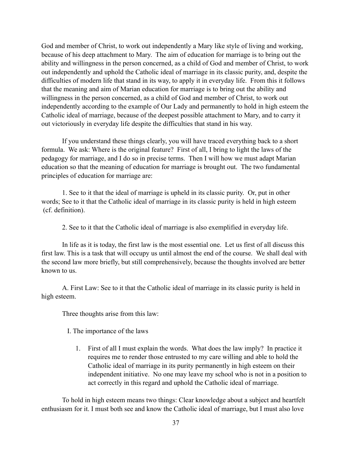God and member of Christ, to work out independently a Mary like style of living and working, because of his deep attachment to Mary. The aim of education for marriage is to bring out the ability and willingness in the person concerned, as a child of God and member of Christ, to work out independently and uphold the Catholic ideal of marriage in its classic purity, and, despite the difficulties of modern life that stand in its way, to apply it in everyday life. From this it follows that the meaning and aim of Marian education for marriage is to bring out the ability and willingness in the person concerned, as a child of God and member of Christ, to work out independently according to the example of Our Lady and permanently to hold in high esteem the Catholic ideal of marriage, because of the deepest possible attachment to Mary, and to carry it out victoriously in everyday life despite the difficulties that stand in his way.

 If you understand these things clearly, you will have traced everything back to a short formula. We ask: Where is the original feature? First of all, I bring to light the laws of the pedagogy for marriage, and I do so in precise terms. Then I will how we must adapt Marian education so that the meaning of education for marriage is brought out. The two fundamental principles of education for marriage are:

 1. See to it that the ideal of marriage is upheld in its classic purity. Or, put in other words; See to it that the Catholic ideal of marriage in its classic purity is held in high esteem (cf. definition).

2. See to it that the Catholic ideal of marriage is also exemplified in everyday life.

In life as it is today, the first law is the most essential one. Let us first of all discuss this first law. This is a task that will occupy us until almost the end of the course. We shall deal with the second law more briefly, but still comprehensively, because the thoughts involved are better known to us.

 A. First Law: See to it that the Catholic ideal of marriage in its classic purity is held in high esteem.

Three thoughts arise from this law:

I. The importance of the laws

1. First of all I must explain the words. What does the law imply? In practice it requires me to render those entrusted to my care willing and able to hold the Catholic ideal of marriage in its purity permanently in high esteem on their independent initiative. No one may leave my school who is not in a position to act correctly in this regard and uphold the Catholic ideal of marriage.

 To hold in high esteem means two things: Clear knowledge about a subject and heartfelt enthusiasm for it. I must both see and know the Catholic ideal of marriage, but I must also love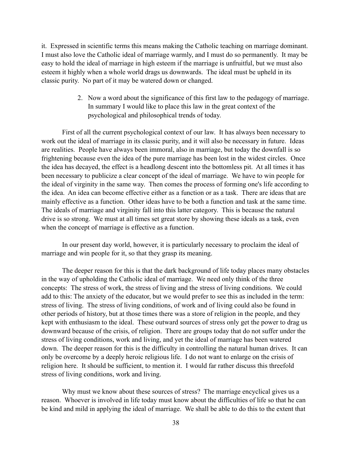it. Expressed in scientific terms this means making the Catholic teaching on marriage dominant. I must also love the Catholic ideal of marriage warmly, and I must do so permanently. It may be easy to hold the ideal of marriage in high esteem if the marriage is unfruitful, but we must also esteem it highly when a whole world drags us downwards. The ideal must be upheld in its classic purity. No part of it may be watered down or changed.

> 2. Now a word about the significance of this first law to the pedagogy of marriage. In summary I would like to place this law in the great context of the psychological and philosophical trends of today.

First of all the current psychological context of our law. It has always been necessary to work out the ideal of marriage in its classic purity, and it will also be necessary in future. Ideas are realities. People have always been immoral, also in marriage, but today the downfall is so frightening because even the idea of the pure marriage has been lost in the widest circles. Once the idea has decayed, the effect is a headlong descent into the bottomless pit. At all times it has been necessary to publicize a clear concept of the ideal of marriage. We have to win people for the ideal of virginity in the same way. Then comes the process of forming one's life according to the idea. An idea can become effective either as a function or as a task. There are ideas that are mainly effective as a function. Other ideas have to be both a function and task at the same time. The ideals of marriage and virginity fall into this latter category. This is because the natural drive is so strong. We must at all times set great store by showing these ideals as a task, even when the concept of marriage is effective as a function.

 In our present day world, however, it is particularly necessary to proclaim the ideal of marriage and win people for it, so that they grasp its meaning.

 The deeper reason for this is that the dark background of life today places many obstacles in the way of upholding the Catholic ideal of marriage. We need only think of the three concepts: The stress of work, the stress of living and the stress of living conditions. We could add to this: The anxiety of the educator, but we would prefer to see this as included in the term: stress of living. The stress of living conditions, of work and of living could also be found in other periods of history, but at those times there was a store of religion in the people, and they kept with enthusiasm to the ideal. These outward sources of stress only get the power to drag us downward because of the crisis, of religion. There are groups today that do not suffer under the stress of living conditions, work and living, and yet the ideal of marriage has been watered down. The deeper reason for this is the difficulty in controlling the natural human drives. It can only be overcome by a deeply heroic religious life. I do not want to enlarge on the crisis of religion here. It should be sufficient, to mention it. I would far rather discuss this threefold stress of living conditions, work and living.

Why must we know about these sources of stress? The marriage encyclical gives us a reason. Whoever is involved in life today must know about the difficulties of life so that he can be kind and mild in applying the ideal of marriage. We shall be able to do this to the extent that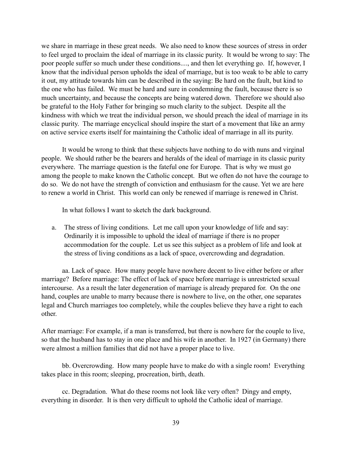we share in marriage in these great needs. We also need to know these sources of stress in order to feel urged to proclaim the ideal of marriage in its classic purity. It would be wrong to say: The poor people suffer so much under these conditions...., and then let everything go. If, however, I know that the individual person upholds the ideal of marriage, but is too weak to be able to carry it out, my attitude towards him can be described in the saying: Be hard on the fault, but kind to the one who has failed. We must be hard and sure in condemning the fault, because there is so much uncertainty, and because the concepts are being watered down. Therefore we should also be grateful to the Holy Father for bringing so much clarity to the subject. Despite all the kindness with which we treat the individual person, we should preach the ideal of marriage in its classic purity. The marriage encyclical should inspire the start of a movement that like an army on active service exerts itself for maintaining the Catholic ideal of marriage in all its purity.

 It would be wrong to think that these subjects have nothing to do with nuns and virginal people. We should rather be the bearers and heralds of the ideal of marriage in its classic purity everywhere. The marriage question is the fateful one for Europe. That is why we must go among the people to make known the Catholic concept. But we often do not have the courage to do so. We do not have the strength of conviction and enthusiasm for the cause. Yet we are here to renew a world in Christ. This world can only be renewed if marriage is renewed in Christ.

In what follows I want to sketch the dark background.

a. The stress of living conditions. Let me call upon your knowledge of life and say: Ordinarily it is impossible to uphold the ideal of marriage if there is no proper accommodation for the couple. Let us see this subject as a problem of life and look at the stress of living conditions as a lack of space, overcrowding and degradation.

 aa. Lack of space. How many people have nowhere decent to live either before or after marriage? Before marriage: The effect of lack of space before marriage is unrestricted sexual intercourse. As a result the later degeneration of marriage is already prepared for. On the one hand, couples are unable to marry because there is nowhere to live, on the other, one separates legal and Church marriages too completely, while the couples believe they have a right to each other.

After marriage: For example, if a man is transferred, but there is nowhere for the couple to live, so that the husband has to stay in one place and his wife in another. In 1927 (in Germany) there were almost a million families that did not have a proper place to live.

 bb. Overcrowding. How many people have to make do with a single room! Everything takes place in this room; sleeping, procreation, birth, death.

 cc. Degradation. What do these rooms not look like very often? Dingy and empty, everything in disorder. It is then very difficult to uphold the Catholic ideal of marriage.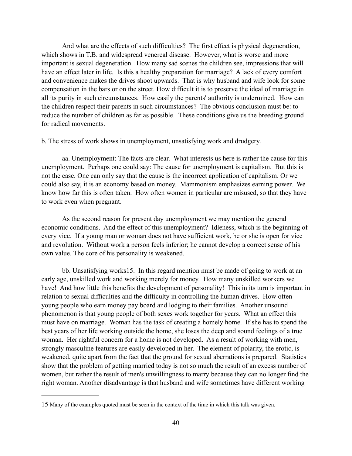And what are the effects of such difficulties? The first effect is physical degeneration, which shows in T.B. and widespread venereal disease. However, what is worse and more important is sexual degeneration. How many sad scenes the children see, impressions that will have an effect later in life. Is this a healthy preparation for marriage? A lack of every comfort and convenience makes the drives shoot upwards. That is why husband and wife look for some compensation in the bars or on the street. How difficult it is to preserve the ideal of marriage in all its purity in such circumstances. How easily the parents' authority is undermined. How can the children respect their parents in such circumstances? The obvious conclusion must be: to reduce the number of children as far as possible. These conditions give us the breeding ground for radical movements.

b. The stress of work shows in unemployment, unsatisfying work and drudgery.

 aa. Unemployment: The facts are clear. What interests us here is rather the cause for this unemployment. Perhaps one could say: The cause for unemployment is capitalism. But this is not the case. One can only say that the cause is the incorrect application of capitalism. Or we could also say, it is an economy based on money. Mammonism emphasizes earning power. We know how far this is often taken. How often women in particular are misused, so that they have to work even when pregnant.

 As the second reason for present day unemployment we may mention the general economic conditions. And the effect of this unemployment? Idleness, which is the beginning of every vice. If a young man or woman does not have sufficient work, he or she is open for vice and revolution. Without work a person feels inferior; he cannot develop a correct sense of his own value. The core of his personality is weakened.

bb. Unsatisfying works<sup>15</sup>. In this regard mention must be made of going to work at an early age, unskilled work and working merely for money. How many unskilled workers we have! And how little this benefits the development of personality! This in its turn is important in relation to sexual difficulties and the difficulty in controlling the human drives. How often young people who earn money pay board and lodging to their families. Another unsound phenomenon is that young people of both sexes work together for years. What an effect this must have on marriage. Woman has the task of creating a homely home. If she has to spend the best years of her life working outside the home, she loses the deep and sound feelings of a true woman. Her rightful concern for a home is not developed. As a result of working with men, strongly masculine features are easily developed in her. The element of polarity, the erotic, is weakened, quite apart from the fact that the ground for sexual aberrations is prepared. Statistics show that the problem of getting married today is not so much the result of an excess number of women, but rather the result of men's unwillingness to marry because they can no longer find the right woman. Another disadvantage is that husband and wife sometimes have different working

<sup>15</sup> Many of the examples quoted must be seen in the context of the time in which this talk was given.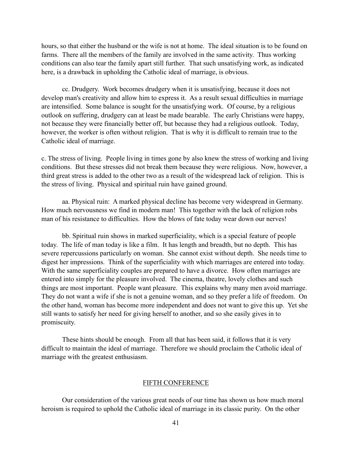hours, so that either the husband or the wife is not at home. The ideal situation is to be found on farms. There all the members of the family are involved in the same activity. Thus working conditions can also tear the family apart still further. That such unsatisfying work, as indicated here, is a drawback in upholding the Catholic ideal of marriage, is obvious.

 cc. Drudgery. Work becomes drudgery when it is unsatisfying, because it does not develop man's creativity and allow him to express it. As a result sexual difficulties in marriage are intensified. Some balance is sought for the unsatisfying work. Of course, by a religious outlook on suffering, drudgery can at least be made bearable. The early Christians were happy, not because they were financially better off, but because they had a religious outlook. Today, however, the worker is often without religion. That is why it is difficult to remain true to the Catholic ideal of marriage.

c. The stress of living. People living in times gone by also knew the stress of working and living conditions. But these stresses did not break them because they were religious. Now, however, a third great stress is added to the other two as a result of the widespread lack of religion. This is the stress of living. Physical and spiritual ruin have gained ground.

 aa. Physical ruin: A marked physical decline has become very widespread in Germany. How much nervousness we find in modern man! This together with the lack of religion robs man of his resistance to difficulties. How the blows of fate today wear down our nerves!

 bb. Spiritual ruin shows in marked superficiality, which is a special feature of people today. The life of man today is like a film. It has length and breadth, but no depth. This has severe repercussions particularly on woman. She cannot exist without depth. She needs time to digest her impressions. Think of the superficiality with which marriages are entered into today. With the same superficiality couples are prepared to have a divorce. How often marriages are entered into simply for the pleasure involved. The cinema, theatre, lovely clothes and such things are most important. People want pleasure. This explains why many men avoid marriage. They do not want a wife if she is not a genuine woman, and so they prefer a life of freedom. On the other hand, woman has become more independent and does not want to give this up. Yet she still wants to satisfy her need for giving herself to another, and so she easily gives in to promiscuity.

 These hints should be enough. From all that has been said, it follows that it is very difficult to maintain the ideal of marriage. Therefore we should proclaim the Catholic ideal of marriage with the greatest enthusiasm.

## FIFTH CONFERENCE

 Our consideration of the various great needs of our time has shown us how much moral heroism is required to uphold the Catholic ideal of marriage in its classic purity. On the other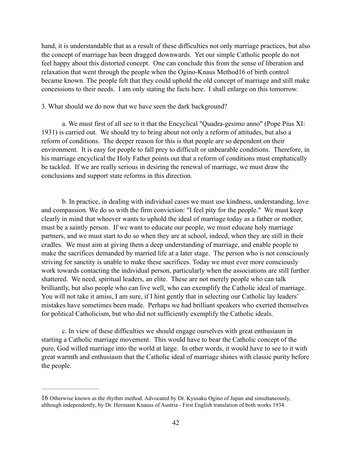hand, it is understandable that as a result of these difficulties not only marriage practices, but also the concept of marriage has been dragged downwards. Yet our simple Catholic people do not feel happy about this distorted concept. One can conclude this from the sense of liberation and relaxation that went through the people when the Ogino-Knaus Method 16 of birth control became known. The people felt that they could uphold the old concept of marriage and still make concessions to their needs. I am only stating the facts here. I shall enlarge on this tomorrow.

## 3. What should we do now that we have seen the dark background?

 a. We must first of all see to it that the Encyclical "Quadra-gesimo anno" (Pope Pius XI: 1931) is carried out. We should try to bring about not only a reform of attitudes, but also a reform of conditions. The deeper reason for this is that people are so dependent on their environment. It is easy for people to fall prey to difficult or unbearable conditions. Therefore, in his marriage encyclical the Holy Father points out that a reform of conditions must emphatically be tackled. If we are really serious in desiring the renewal of marriage, we must draw the conclusions and support state reforms in this direction.

 b. In practice, in dealing with individual cases we must use kindness, understanding, love and compassion. We do so with the firm conviction: "I feel pity for the people." We must keep clearly in mind that whoever wants to uphold the ideal of marriage today as a father or mother, must be a saintly person. If we want to educate our people, we must educate holy marriage partners, and we must start to do so when they are at school, indeed, when they are still in their cradles. We must aim at giving them a deep understanding of marriage, and enable people to make the sacrifices demanded by married life at a later stage. The person who is not consciously striving for sanctity is unable to make these sacrifices. Today we must ever more consciously work towards contacting the individual person, particularly when the associations are still further shattered. We need, spiritual leaders, an elite. These are not merely people who can talk brilliantly, but also people who can live well, who can exemplify the Catholic ideal of marriage. You will not take it amiss, I am sure, if I hint gently that in selecting our Catholic lay leaders' mistakes have sometimes been made. Perhaps we had brilliant speakers who exerted themselves for political Catholicism, but who did not sufficiently exemplify the Catholic ideals.

 c. In view of these difficulties we should engage ourselves with great enthusiasm in starting a Catholic marriage movement. This would have to bear the Catholic concept of the pure, God willed marriage into the world at large. In other words, it would have to see to it with great warmth and enthusiasm that the Catholic ideal of marriage shines with classic purity before the people.

<sup>16</sup> Otherwise known as the rhythm method. Advocated by Dr. Kyusaku Ogino of Japan and simultaneously, although independently, by Dr. Hermann Knauss of Austria - First English translation of both works 1934.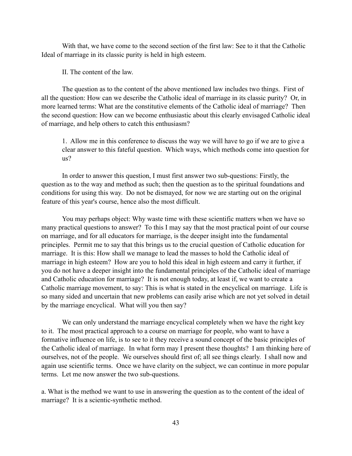With that, we have come to the second section of the first law: See to it that the Catholic Ideal of marriage in its classic purity is held in high esteem.

II. The content of the law.

 The question as to the content of the above mentioned law includes two things. First of all the question: How can we describe the Catholic ideal of marriage in its classic purity? Or, in more learned terms: What are the constitutive elements of the Catholic ideal of marriage? Then the second question: How can we become enthusiastic about this clearly envisaged Catholic ideal of marriage, and help others to catch this enthusiasm?

1. Allow me in this conference to discuss the way we will have to go if we are to give a clear answer to this fateful question. Which ways, which methods come into question for us?

 In order to answer this question, I must first answer two sub-questions: Firstly, the question as to the way and method as such; then the question as to the spiritual foundations and conditions for using this way. Do not be dismayed, for now we are starting out on the original feature of this year's course, hence also the most difficult.

 You may perhaps object: Why waste time with these scientific matters when we have so many practical questions to answer? To this I may say that the most practical point of our course on marriage, and for all educators for marriage, is the deeper insight into the fundamental principles. Permit me to say that this brings us to the crucial question of Catholic education for marriage. It is this: How shall we manage to lead the masses to hold the Catholic ideal of marriage in high esteem? How are you to hold this ideal in high esteem and carry it further, if you do not have a deeper insight into the fundamental principles of the Catholic ideal of marriage and Catholic education for marriage? It is not enough today, at least if, we want to create a Catholic marriage movement, to say: This is what is stated in the encyclical on marriage. Life is so many sided and uncertain that new problems can easily arise which are not yet solved in detail by the marriage encyclical. What will you then say?

 We can only understand the marriage encyclical completely when we have the right key to it. The most practical approach to a course on marriage for people, who want to have a formative influence on life, is to see to it they receive a sound concept of the basic principles of the Catholic ideal of marriage. In what form may I present these thoughts? I am thinking here of ourselves, not of the people. We ourselves should first of; all see things clearly. I shall now and again use scientific terms. Once we have clarity on the subject, we can continue in more popular terms. Let me now answer the two sub-questions.

a. What is the method we want to use in answering the question as to the content of the ideal of marriage? It is a scientic-synthetic method.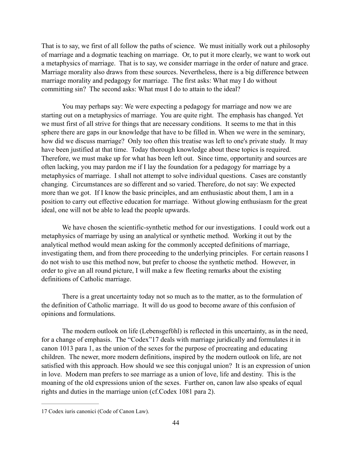That is to say, we first of all follow the paths of science. We must initially work out a philosophy of marriage and a dogmatic teaching on marriage. Or, to put it more clearly, we want to work out a metaphysics of marriage. That is to say, we consider marriage in the order of nature and grace. Marriage morality also draws from these sources. Nevertheless, there is a big difference between marriage morality and pedagogy for marriage. The first asks: What may I do without committing sin? The second asks: What must I do to attain to the ideal?

 You may perhaps say: We were expecting a pedagogy for marriage and now we are starting out on a metaphysics of marriage. You are quite right. The emphasis has changed. Yet we must first of all strive for things that are necessary conditions. It seems to me that in this sphere there are gaps in our knowledge that have to be filled in. When we were in the seminary, how did we discuss marriage? Only too often this treatise was left to one's private study. It may have been justified at that time. Today thorough knowledge about these topics is required. Therefore, we must make up for what has been left out. Since time, opportunity and sources are often lacking, you may pardon me if I lay the foundation for a pedagogy for marriage by a metaphysics of marriage. I shall not attempt to solve individual questions. Cases are constantly changing. Circumstances are so different and so varied. Therefore, do not say: We expected more than we got. If I know the basic principles, and am enthusiastic about them, I am in a position to carry out effective education for marriage. Without glowing enthusiasm for the great ideal, one will not be able to lead the people upwards.

 We have chosen the scientific-synthetic method for our investigations. I could work out a metaphysics of marriage by using an analytical or synthetic method. Working it out by the analytical method would mean asking for the commonly accepted definitions of marriage, investigating them, and from there proceeding to the underlying principles. For certain reasons I do not wish to use this method now, but prefer to choose the synthetic method. However, in order to give an all round picture, I will make a few fleeting remarks about the existing definitions of Catholic marriage.

 There is a great uncertainty today not so much as to the matter, as to the formulation of the definition of Catholic marriage. It will do us good to become aware of this confusion of opinions and formulations.

The modern outlook on life (Lebensgefühl) is reflected in this uncertainty, as in the need, for a change of emphasis. The "Codex" 17 deals with marriage juridically and formulates it in canon 1013 para 1, as the union of the sexes for the purpose of procreating and educating children. The newer, more modern definitions, inspired by the modern outlook on life, are not satisfied with this approach. How should we see this conjugal union? It is an expression of union in love. Modern man prefers to see marriage as a union of love, life and destiny. This is the moaning of the old expressions union of the sexes. Further on, canon law also speaks of equal rights and duties in the marriage union (cf.Codex 1081 para 2).

<sup>17</sup> Codex iuris canonici (Code of Canon Law).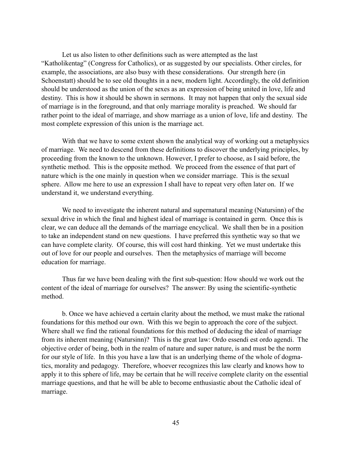Let us also listen to other definitions such as were attempted as the last "Katholikentag" (Congress for Catholics), or as suggested by our specialists. Other circles, for example, the associations, are also busy with these considerations. Our strength here (in Schoenstatt) should be to see old thoughts in a new, modern light. Accordingly, the old definition should be understood as the union of the sexes as an expression of being united in love, life and destiny. This is how it should be shown in sermons. It may not happen that only the sexual side of marriage is in the foreground, and that only marriage morality is preached. We should far rather point to the ideal of marriage, and show marriage as a union of love, life and destiny. The most complete expression of this union is the marriage act.

 With that we have to some extent shown the analytical way of working out a metaphysics of marriage. We need to descend from these definitions to discover the underlying principles, by proceeding from the known to the unknown. However, I prefer to choose, as I said before, the synthetic method. This is the opposite method. We proceed from the essence of that part of nature which is the one mainly in question when we consider marriage. This is the sexual sphere. Allow me here to use an expression I shall have to repeat very often later on. If we understand it, we understand everything.

 We need to investigate the inherent natural and supernatural meaning (Natursinn) of the sexual drive in which the final and highest ideal of marriage is contained in germ. Once this is clear, we can deduce all the demands of the marriage encyclical. We shall then be in a position to take an independent stand on new questions. I have preferred this synthetic way so that we can have complete clarity. Of course, this will cost hard thinking. Yet we must undertake this out of love for our people and ourselves. Then the metaphysics of marriage will become education for marriage.

 Thus far we have been dealing with the first sub-question: How should we work out the content of the ideal of marriage for ourselves? The answer: By using the scientific-synthetic method.

 b. Once we have achieved a certain clarity about the method, we must make the rational foundations for this method our own. With this we begin to approach the core of the subject. Where shall we find the rational foundations for this method of deducing the ideal of marriage from its inherent meaning (Natursinn)? This is the great law: Ordo essendi est ordo agendi. The objective order of being, both in the realm of nature and super nature, is and must be the norm for our style of life. In this you have a law that is an underlying theme of the whole of dogmatics, morality and pedagogy. Therefore, whoever recognizes this law clearly and knows how to apply it to this sphere of life, may be certain that he will receive complete clarity on the essential marriage questions, and that he will be able to become enthusiastic about the Catholic ideal of marriage.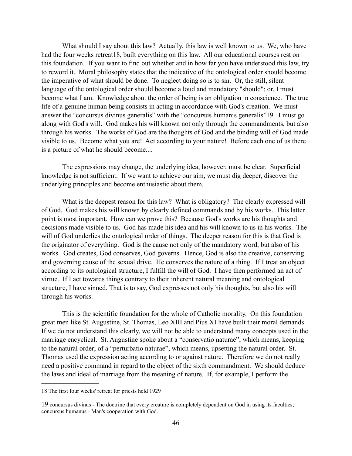What should I say about this law? Actually, this law is well known to us. We, who have had the four weeks retreat 18, built everything on this law. All our educational courses rest on this foundation. If you want to find out whether and in how far you have understood this law, try to reword it. Moral philosophy states that the indicative of the ontological order should become the imperative of what should be done. To neglect doing so is to sin. Or, the still, silent language of the ontological order should become a loud and mandatory "should"; or, I must become what I am. Knowledge about the order of being is an obligation in conscience. The true life of a genuine human being consists in acting in accordance with God's creation. We must answer the "concursus divinus generalis" with the "concursus humanis generalis" 19. I must go along with God's will. God makes his will known not only through the commandments, but also through his works. The works of God are the thoughts of God and the binding will of God made visible to us. Become what you are! Act according to your nature! Before each one of us there is a picture of what he should become....

 The expressions may change, the underlying idea, however, must be clear. Superficial knowledge is not sufficient. If we want to achieve our aim, we must dig deeper, discover the underlying principles and become enthusiastic about them.

What is the deepest reason for this law? What is obligatory? The clearly expressed will of God. God makes his will known by clearly defined commands and by his works. This latter point is most important. How can we prove this? Because God's works are his thoughts and decisions made visible to us. God has made his idea and his will known to us in his works. The will of God underlies the ontological order of things. The deeper reason for this is that God is the originator of everything. God is the cause not only of the mandatory word, but also of his works. God creates, God conserves, God governs. Hence, God is also the creative, conserving and governing cause of the sexual drive. He conserves the nature of a thing. If I treat an object according to its ontological structure, I fulfill the will of God. I have then performed an act of virtue. If I act towards things contrary to their inherent natural meaning and ontological structure, I have sinned. That is to say, God expresses not only his thoughts, but also his will through his works.

 This is the scientific foundation for the whole of Catholic morality. On this foundation great men like St. Augustine, St. Thomas, Leo XIII and Pius XI have built their moral demands. If we do not understand this clearly, we will not be able to understand many concepts used in the marriage encyclical. St. Augustine spoke about a "conservatio naturae", which means, keeping to the natural order; of a "perturbatio naturae", which means, upsetting the natural order. St. Thomas used the expression acting according to or against nature. Therefore we do not really need a positive command in regard to the object of the sixth commandment. We should deduce the laws and ideal of marriage from the meaning of nature. If, for example, I perform the

<sup>18</sup> The first four weeks' retreat for priests held 1929

<sup>19</sup> concursus divinus - The doctrine that every creature is completely dependent on God in using its faculties; concursus humanus - Man's cooperation with God.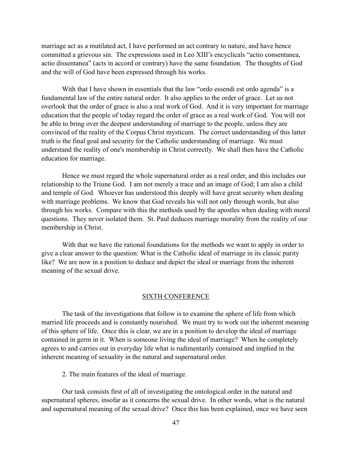marriage act as a mutilated act, I have performed an act contrary to nature, and have hence committed a grievous sin. The expressions used in Leo XIII's encyclicals "actio consentanea, actio dissentanea" (acts in accord or contrary) have the same foundation. The thoughts of God and the will of God have been expressed through his works.

With that I have shown in essentials that the law "ordo essendi est ordo agenda" is a fundamental law of the entire natural order. It also applies to the order of grace. Let us not overlook that the order of grace is also a real work of God. And it is very important for marriage education that the people of today regard the order of grace as a real work of God. You will not be able to bring over the deepest understanding of marriage to the people, unless they are convinced of the reality of the Corpus Christ mysticum. The correct understanding of this latter truth is the final goal and security for the Catholic understanding of marriage. We must understand the reality of one's membership in Christ correctly. We shall then have the Catholic education for marriage.

 Hence we must regard the whole supernatural order as a real order, and this includes our relationship to the Triune God. I am not merely a trace and an image of God; I am also a child and temple of God. Whoever has understood this deeply will have great security when dealing with marriage problems. We know that God reveals his will not only through words, but also through his works. Compare with this the methods used by the apostles when dealing with moral questions. They never isolated them. St. Paul deduces marriage morality from the reality of our membership in Christ.

With that we have the rational foundations for the methods we want to apply in order to give a clear answer to the question: What is the Catholic ideal of marriage in its classic purity like? We are now in a position to deduce and depict the ideal or marriage from the inherent meaning of the sexual drive.

#### SIXTH CONFERENCE

 The task of the investigations that follow is to examine the sphere of life from which married life proceeds and is constantly nourished. We must try to work out the inherent meaning of this sphere of life. Once this is clear, we are in a position to develop the ideal of marriage contained in germ in it. When is someone living the ideal of marriage? When he completely agrees to and carries out in everyday life what is rudimentarily contained and implied in the inherent meaning of sexuality in the natural and supernatural order.

2. The main features of the ideal of marriage.

 Our task consists first of all of investigating the ontological order in the natural and supernatural spheres, insofar as it concerns the sexual drive. In other words, what is the natural and supernatural meaning of the sexual drive? Once this has been explained, once we have seen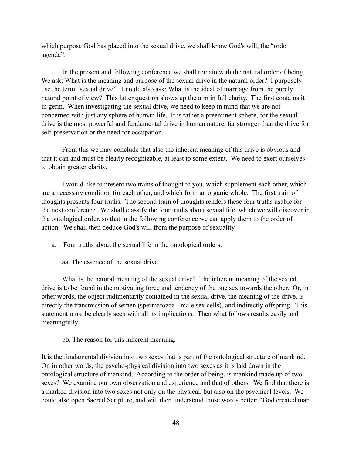which purpose God has placed into the sexual drive, we shall know God's will, the "ordo" agenda".

 In the present and following conference we shall remain with the natural order of being. We ask: What is the meaning and purpose of the sexual drive in the natural order? I purposely use the term "sexual drive". I could also ask: What is the ideal of marriage from the purely natural point of view? This latter question shows up the aim in full clarity. The first contains it in germ. When investigating the sexual drive, we need to keep in mind that we are not concerned with just any sphere of human life. It is rather a preeminent sphere, for the sexual drive is the most powerful and fundamental drive in human nature, far stronger than the drive for self-preservation or the need for occupation.

 From this we may conclude that also the inherent meaning of this drive is obvious and that it can and must be clearly recognizable, at least to some extent. We need to exert ourselves to obtain greater clarity.

 I would like to present two trains of thought to you, which supplement each other, which are a necessary condition for each other, and which form an organic whole. The first train of thoughts presents four truths. The second train of thoughts renders these four truths usable for the next conference. We shall classify the four truths about sexual life, which we will discover in the ontological order, so that in the following conference we can apply them to the order of action. We shall then deduce God's will from the purpose of sexuality.

- a. Four truths about the sexual life in the ontological orders:
	- aa. The essence of the sexual drive.

What is the natural meaning of the sexual drive? The inherent meaning of the sexual drive is to be found in the motivating force and tendency of the one sex towards the other. Or, in other words, the object rudimentarily contained in the sexual drive, the meaning of the drive, is directly the transmission of semen (spermatozoa - male sex cells), and indirectly offspring. This statement must be clearly seen with all its implications. Then what follows results easily and meaningfully.

bb. The reason for this inherent meaning.

It is the fundamental division into two sexes that is part of the ontological structure of mankind. Or, in other words, the psycho-physical division into two sexes as it is laid down in the ontological structure of mankind. According to the order of being, is mankind made up of two sexes? We examine our own observation and experience and that of others. We find that there is a marked division into two sexes not only on the physical, but also on the psychical levels. We could also open Sacred Scripture, and will then understand those words better: "God created man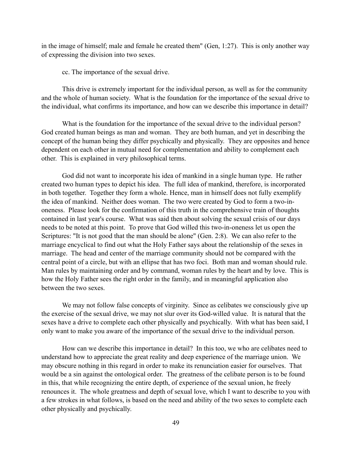in the image of himself; male and female he created them" (Gen, 1:27). This is only another way of expressing the division into two sexes.

cc. The importance of the sexual drive.

 This drive is extremely important for the individual person, as well as for the community and the whole of human society. What is the foundation for the importance of the sexual drive to the individual, what confirms its importance, and how can we describe this importance in detail?

What is the foundation for the importance of the sexual drive to the individual person? God created human beings as man and woman. They are both human, and yet in describing the concept of the human being they differ psychically and physically. They are opposites and hence dependent on each other in mutual need for complementation and ability to complement each other. This is explained in very philosophical terms.

 God did not want to incorporate his idea of mankind in a single human type. He rather created two human types to depict his idea. The full idea of mankind, therefore, is incorporated in both together. Together they form a whole. Hence, man in himself does not fully exemplify the idea of mankind. Neither does woman. The two were created by God to form a two-inoneness. Please look for the confirmation of this truth in the comprehensive train of thoughts contained in last year's course. What was said then about solving the sexual crisis of our days needs to be noted at this point. To prove that God willed this two-in-oneness let us open the Scriptures: "It is not good that the man should be alone" (Gen. 2:8). We can also refer to the marriage encyclical to find out what the Holy Father says about the relationship of the sexes in marriage. The head and center of the marriage community should not be compared with the central point of a circle, but with an ellipse that has two foci. Both man and woman should rule. Man rules by maintaining order and by command, woman rules by the heart and by love. This is how the Holy Father sees the right order in the family, and in meaningful application also between the two sexes.

We may not follow false concepts of virginity. Since as celibates we consciously give up the exercise of the sexual drive, we may not slur over its God-willed value. It is natural that the sexes have a drive to complete each other physically and psychically. With what has been said, I only want to make you aware of the importance of the sexual drive to the individual person.

 How can we describe this importance in detail? In this too, we who are celibates need to understand how to appreciate the great reality and deep experience of the marriage union. We may obscure nothing in this regard in order to make its renunciation easier for ourselves. That would be a sin against the ontological order. The greatness of the celibate person is to be found in this, that while recognizing the entire depth, of experience of the sexual union, he freely renounces it. The whole greatness and depth of sexual love, which I want to describe to you with a few strokes in what follows, is based on the need and ability of the two sexes to complete each other physically and psychically.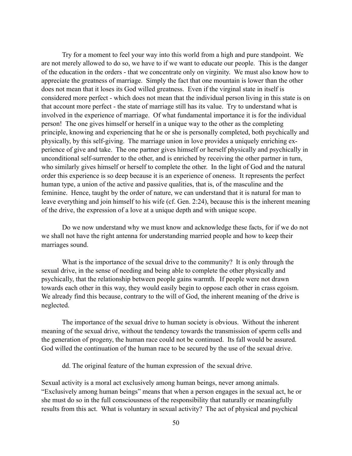Try for a moment to feel your way into this world from a high and pure standpoint. We are not merely allowed to do so, we have to if we want to educate our people. This is the danger of the education in the orders - that we concentrate only on virginity. We must also know how to appreciate the greatness of marriage. Simply the fact that one mountain is lower than the other does not mean that it loses its God willed greatness. Even if the virginal state in itself is considered more perfect - which does not mean that the individual person living in this state is on that account more perfect - the state of marriage still has its value. Try to understand what is involved in the experience of marriage. Of what fundamental importance it is for the individual person! The one gives himself or herself in a unique way to the other as the completing principle, knowing and experiencing that he or she is personally completed, both psychically and physically, by this self-giving. The marriage union in love provides a uniquely enriching experience of give and take. The one partner gives himself or herself physically and psychically in unconditional self-surrender to the other, and is enriched by receiving the other partner in turn, who similarly gives himself or herself to complete the other. In the light of God and the natural order this experience is so deep because it is an experience of oneness. It represents the perfect human type, a union of the active and passive qualities, that is, of the masculine and the feminine. Hence, taught by the order of nature, we can understand that it is natural for man to leave everything and join himself to his wife (cf. Gen. 2:24), because this is the inherent meaning of the drive, the expression of a love at a unique depth and with unique scope.

 Do we now understand why we must know and acknowledge these facts, for if we do not we shall not have the right antenna for understanding married people and how to keep their marriages sound.

 What is the importance of the sexual drive to the community? It is only through the sexual drive, in the sense of needing and being able to complete the other physically and psychically, that the relationship between people gains warmth. If people were not drawn towards each other in this way, they would easily begin to oppose each other in crass egoism. We already find this because, contrary to the will of God, the inherent meaning of the drive is neglected.

 The importance of the sexual drive to human society is obvious. Without the inherent meaning of the sexual drive, without the tendency towards the transmission of sperm cells and the generation of progeny, the human race could not be continued. Its fall would be assured. God willed the continuation of the human race to be secured by the use of the sexual drive.

dd. The original feature of the human expression of the sexual drive.

Sexual activity is a moral act exclusively among human beings, never among animals. "Exclusively among human beings" means that when a person engages in the sexual act, he or she must do so in the full consciousness of the responsibility that naturally or meaningfully results from this act. What is voluntary in sexual activity? The act of physical and psychical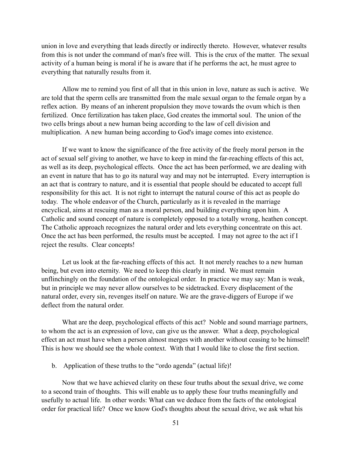union in love and everything that leads directly or indirectly thereto. However, whatever results from this is not under the command of man's free will. This is the crux of the matter. The sexual activity of a human being is moral if he is aware that if he performs the act, he must agree to everything that naturally results from it.

 Allow me to remind you first of all that in this union in love, nature as such is active. We are told that the sperm cells are transmitted from the male sexual organ to the female organ by a reflex action. By means of an inherent propulsion they move towards the ovum which is then fertilized. Once fertilization has taken place, God creates the immortal soul. The union of the two cells brings about a new human being according to the law of cell division and multiplication. A new human being according to God's image comes into existence.

 If we want to know the significance of the free activity of the freely moral person in the act of sexual self giving to another, we have to keep in mind the far-reaching effects of this act, as well as its deep, psychological effects. Once the act has been performed, we are dealing with an event in nature that has to go its natural way and may not be interrupted. Every interruption is an act that is contrary to nature, and it is essential that people should be educated to accept full responsibility for this act. It is not right to interrupt the natural course of this act as people do today. The whole endeavor of the Church, particularly as it is revealed in the marriage encyclical, aims at rescuing man as a moral person, and building everything upon him. A Catholic and sound concept of nature is completely opposed to a totally wrong, heathen concept. The Catholic approach recognizes the natural order and lets everything concentrate on this act. Once the act has been performed, the results must be accepted. I may not agree to the act if I reject the results. Clear concepts!

 Let us look at the far-reaching effects of this act. It not merely reaches to a new human being, but even into eternity. We need to keep this clearly in mind. We must remain unflinchingly on the foundation of the ontological order. In practice we may say: Man is weak, but in principle we may never allow ourselves to be sidetracked. Every displacement of the natural order, every sin, revenges itself on nature. We are the grave-diggers of Europe if we deflect from the natural order.

What are the deep, psychological effects of this act? Noble and sound marriage partners, to whom the act is an expression of love, can give us the answer. What a deep, psychological effect an act must have when a person almost merges with another without ceasing to be himself! This is how we should see the whole context. With that I would like to close the first section.

b. Application of these truths to the "ordo agenda" (actual life)!

 Now that we have achieved clarity on these four truths about the sexual drive, we come to a second train of thoughts. This will enable us to apply these four truths meaningfully and usefully to actual life. In other words: What can we deduce from the facts of the ontological order for practical life? Once we know God's thoughts about the sexual drive, we ask what his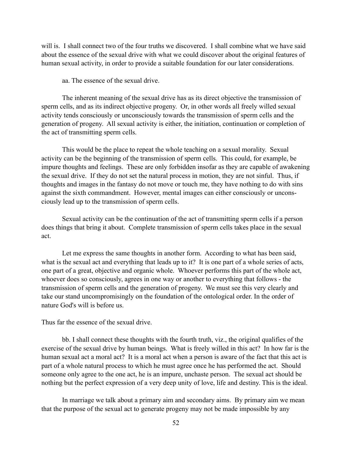will is. I shall connect two of the four truths we discovered. I shall combine what we have said about the essence of the sexual drive with what we could discover about the original features of human sexual activity, in order to provide a suitable foundation for our later considerations.

aa. The essence of the sexual drive.

 The inherent meaning of the sexual drive has as its direct objective the transmission of sperm cells, and as its indirect objective progeny. Or, in other words all freely willed sexual activity tends consciously or unconsciously towards the transmission of sperm cells and the generation of progeny. All sexual activity is either, the initiation, continuation or completion of the act of transmitting sperm cells.

 This would be the place to repeat the whole teaching on a sexual morality. Sexual activity can be the beginning of the transmission of sperm cells. This could, for example, be impure thoughts and feelings. These are only forbidden insofar as they are capable of awakening the sexual drive. If they do not set the natural process in motion, they are not sinful. Thus, if thoughts and images in the fantasy do not move or touch me, they have nothing to do with sins against the sixth commandment. However, mental images can either consciously or unconsciously lead up to the transmission of sperm cells.

 Sexual activity can be the continuation of the act of transmitting sperm cells if a person does things that bring it about. Complete transmission of sperm cells takes place in the sexual act.

 Let me express the same thoughts in another form. According to what has been said, what is the sexual act and everything that leads up to it? It is one part of a whole series of acts, one part of a great, objective and organic whole. Whoever performs this part of the whole act, whoever does so consciously, agrees in one way or another to everything that follows - the transmission of sperm cells and the generation of progeny. We must see this very clearly and take our stand uncompromisingly on the foundation of the ontological order. In the order of nature God's will is before us.

Thus far the essence of the sexual drive.

 bb. I shall connect these thoughts with the fourth truth, viz., the original qualifies of the exercise of the sexual drive by human beings. What is freely willed in this act? In how far is the human sexual act a moral act? It is a moral act when a person is aware of the fact that this act is part of a whole natural process to which he must agree once he has performed the act. Should someone only agree to the one act, he is an impure, unchaste person. The sexual act should be nothing but the perfect expression of a very deep unity of love, life and destiny. This is the ideal.

 In marriage we talk about a primary aim and secondary aims. By primary aim we mean that the purpose of the sexual act to generate progeny may not be made impossible by any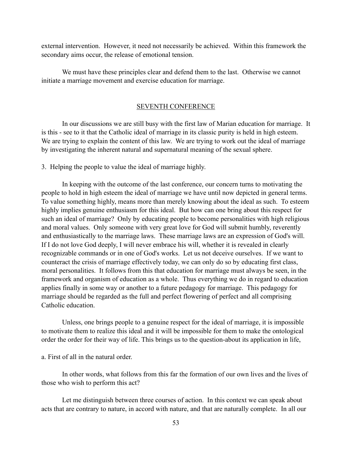external intervention. However, it need not necessarily be achieved. Within this framework the secondary aims occur, the release of emotional tension.

 We must have these principles clear and defend them to the last. Otherwise we cannot initiate a marriage movement and exercise education for marriage.

#### SEVENTH CONFERENCE

 In our discussions we are still busy with the first law of Marian education for marriage. It is this - see to it that the Catholic ideal of marriage in its classic purity is held in high esteem. We are trying to explain the content of this law. We are trying to work out the ideal of marriage by investigating the inherent natural and supernatural meaning of the sexual sphere.

3. Helping the people to value the ideal of marriage highly.

 In keeping with the outcome of the last conference, our concern turns to motivating the people to hold in high esteem the ideal of marriage we have until now depicted in general terms. To value something highly, means more than merely knowing about the ideal as such. To esteem highly implies genuine enthusiasm for this ideal. But how can one bring about this respect for such an ideal of marriage? Only by educating people to become personalities with high religious and moral values. Only someone with very great love for God will submit humbly, reverently and enthusiastically to the marriage laws. These marriage laws are an expression of God's will. If I do not love God deeply, I will never embrace his will, whether it is revealed in clearly recognizable commands or in one of God's works. Let us not deceive ourselves. If we want to counteract the crisis of marriage effectively today, we can only do so by educating first class, moral personalities. It follows from this that education for marriage must always be seen, in the framework and organism of education as a whole. Thus everything we do in regard to education applies finally in some way or another to a future pedagogy for marriage. This pedagogy for marriage should be regarded as the full and perfect flowering of perfect and all comprising Catholic education.

 Unless, one brings people to a genuine respect for the ideal of marriage, it is impossible to motivate them to realize this ideal and it will be impossible for them to make the ontological order the order for their way of life. This brings us to the question-about its application in life,

a. First of all in the natural order.

 In other words, what follows from this far the formation of our own lives and the lives of those who wish to perform this act?

 Let me distinguish between three courses of action. In this context we can speak about acts that are contrary to nature, in accord with nature, and that are naturally complete. In all our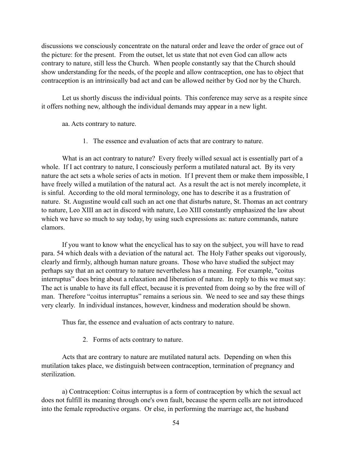discussions we consciously concentrate on the natural order and leave the order of grace out of the picture: for the present. From the outset, let us state that not even God can allow acts contrary to nature, still less the Church. When people constantly say that the Church should show understanding for the needs, of the people and allow contraception, one has to object that contraception is an intrinsically bad act and can be allowed neither by God nor by the Church.

 Let us shortly discuss the individual points. This conference may serve as a respite since it offers nothing new, although the individual demands may appear in a new light.

aa. Acts contrary to nature.

1. The essence and evaluation of acts that are contrary to nature.

 What is an act contrary to nature? Every freely willed sexual act is essentially part of a whole. If I act contrary to nature, I consciously perform a mutilated natural act. By its very nature the act sets a whole series of acts in motion. If I prevent them or make them impossible, I have freely willed a mutilation of the natural act. As a result the act is not merely incomplete, it is sinful. According to the old moral terminology, one has to describe it as a frustration of nature. St. Augustine would call such an act one that disturbs nature, St. Thomas an act contrary to nature, Leo XIII an act in discord with nature, Leo XIII constantly emphasized the law about which we have so much to say today, by using such expressions as: nature commands, nature clamors.

 If you want to know what the encyclical has to say on the subject, you will have to read para. 54 which deals with a deviation of the natural act. The Holy Father speaks out vigorously, clearly and firmly, although human nature groans. Those who have studied the subject may perhaps say that an act contrary to nature nevertheless has a meaning. For example, "coitus interruptus" does bring about a relaxation and liberation of nature. In reply to this we must say: The act is unable to have its full effect, because it is prevented from doing so by the free will of man. Therefore "coitus interruptus" remains a serious sin. We need to see and say these things very clearly. In individual instances, however, kindness and moderation should be shown.

Thus far, the essence and evaluation of acts contrary to nature.

2. Forms of acts contrary to nature.

 Acts that are contrary to nature are mutilated natural acts. Depending on when this mutilation takes place, we distinguish between contraception, termination of pregnancy and sterilization.

 a) Contraception: Coitus interruptus is a form of contraception by which the sexual act does not fulfill its meaning through one's own fault, because the sperm cells are not introduced into the female reproductive organs. Or else, in performing the marriage act, the husband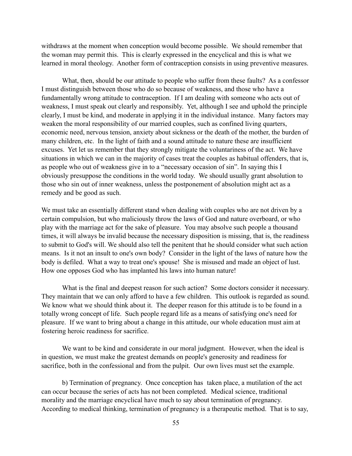withdraws at the moment when conception would become possible. We should remember that the woman may permit this. This is clearly expressed in the encyclical and this is what we learned in moral theology. Another form of contraception consists in using preventive measures.

 What, then, should be our attitude to people who suffer from these faults? As a confessor I must distinguish between those who do so because of weakness, and those who have a fundamentally wrong attitude to contraception. If I am dealing with someone who acts out of weakness, I must speak out clearly and responsibly. Yet, although I see and uphold the principle clearly, I must be kind, and moderate in applying it in the individual instance. Many factors may weaken the moral responsibility of our married couples, such as confined living quarters, economic need, nervous tension, anxiety about sickness or the death of the mother, the burden of many children, etc. In the light of faith and a sound attitude to nature these are insufficient excuses. Yet let us remember that they strongly mitigate the voluntariness of the act. We have situations in which we can in the majority of cases treat the couples as habitual offenders, that is, as people who out of weakness give in to a "necessary occasion of sin". In saying this I obviously presuppose the conditions in the world today. We should usually grant absolution to those who sin out of inner weakness, unless the postponement of absolution might act as a remedy and be good as such.

We must take an essentially different stand when dealing with couples who are not driven by a certain compulsion, but who maliciously throw the laws of God and nature overboard, or who play with the marriage act for the sake of pleasure. You may absolve such people a thousand times, it will always be invalid because the necessary disposition is missing, that is, the readiness to submit to God's will. We should also tell the penitent that he should consider what such action means. Is it not an insult to one's own body? Consider in the light of the laws of nature how the body is defiled. What a way to treat one's spouse! She is misused and made an object of lust. How one opposes God who has implanted his laws into human nature!

 What is the final and deepest reason for such action? Some doctors consider it necessary. They maintain that we can only afford to have a few children. This outlook is regarded as sound. We know what we should think about it. The deeper reason for this attitude is to be found in a totally wrong concept of life. Such people regard life as a means of satisfying one's need for pleasure. If we want to bring about a change in this attitude, our whole education must aim at fostering heroic readiness for sacrifice.

 We want to be kind and considerate in our moral judgment. However, when the ideal is in question, we must make the greatest demands on people's generosity and readiness for sacrifice, both in the confessional and from the pulpit. Our own lives must set the example.

 b) Termination of pregnancy. Once conception has taken place, a mutilation of the act can occur because the series of acts has not been completed. Medical science, traditional morality and the marriage encyclical have much to say about termination of pregnancy. According to medical thinking, termination of pregnancy is a therapeutic method. That is to say,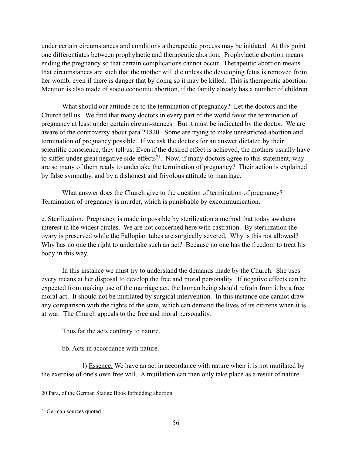under certain circumstances and conditions a therapeutic process may be initiated. At this point one differentiates between prophylactic and therapeutic abortion. Prophylactic abortion means ending the pregnancy so that certain complications cannot occur. Therapeutic abortion means that circumstances are such that the mother will die unless the developing fetus is removed from her womb, even if there is danger that by doing so it may be killed. This is therapeutic abortion. Mention is also made of socio economic abortion, if the family already has a number of children.

 What should our attitude be to the termination of pregnancy? Let the doctors and the Church tell us. We find that many doctors in every part of the world favor the termination of pregnancy at least under certain circum-stances. But it must be indicated by the doctor. We are aware of the controversy about para 21820‑ . Some are trying to make unrestricted abortion and termination of pregnancy possible. If we ask the doctors for an answer dictated by their scientific conscience, they tell us: Even if the desired effect is achieved, the mothers usually have to suffer under great negative side-effects<sup>21</sup>. Now, if many doctors agree to this statement, why are so many of them ready to undertake the termination of pregnancy? Their action is explained by false sympathy, and by a dishonest and frivolous attitude to marriage.

 What answer does the Church give to the question of termination of pregnancy? Termination of pregnancy is murder, which is punishable by excommunication.

c. Sterilization. Pregnancy is made impossible by sterilization a method that today awakens interest in the widest circles. We are not concerned here with castration. By sterilization the ovary is preserved while the Fallopian tubes are surgically severed. Why is this not allowed? Why has no one the right to undertake such an act? Because no one has the freedom to treat his body in this way.

In this instance we must try to understand the demands made by the Church. She uses every means at her disposal to develop the free and moral personality. If negative effects can be expected from making use of the marriage act, the human being should refrain from it by a free moral act. It should not be mutilated by surgical intervention. In this instance one cannot draw any comparison with the rights of the state, which can demand the lives of its citizens when it is at war. The Church appeals to the free and moral personality.

Thus far the acts contrary to nature.

bb. Acts in accordance with nature.

 l) Essence: We have an act in accordance with nature when it is not mutilated by the exercise of one's own free will. A mutilation can then only take place as a result of nature

<sup>20</sup> Para, of the German Statute Book forbidding abortion

 $21$  German sources quoted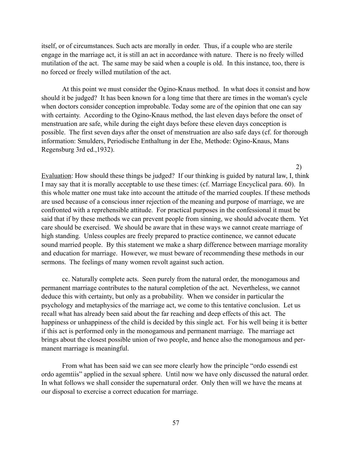itself, or of circumstances. Such acts are morally in order. Thus, if a couple who are sterile engage in the marriage act, it is still an act in accordance with nature. There is no freely willed mutilation of the act. The same may be said when a couple is old. In this instance, too, there is no forced or freely willed mutilation of the act.

 At this point we must consider the Ogino-Knaus method. In what does it consist and how should it be judged? It has been known for a long time that there are times in the woman's cycle when doctors consider conception improbable. Today some are of the opinion that one can say with certainty. According to the Ogino-Knaus method, the last eleven days before the onset of menstruation are safe, while during the eight days before these eleven days conception is possible. The first seven days after the onset of menstruation are also safe days (cf. for thorough information: Smulders, Periodische Enthaltung in der Ehe, Methode: Ogino-Knaus, Mans Regensburg 3rd ed.,1932).

2)

Evaluation: How should these things be judged? If our thinking is guided by natural law, I, think I may say that it is morally acceptable to use these times: (cf. Marriage Encyclical para. 60). In this whole matter one must take into account the attitude of the married couples. If these methods are used because of a conscious inner rejection of the meaning and purpose of marriage, we are confronted with a reprehensible attitude. For practical purposes in the confessional it must be said that if by these methods we can prevent people from sinning, we should advocate them. Yet care should be exercised. We should be aware that in these ways we cannot create marriage of high standing. Unless couples are freely prepared to practice continence, we cannot educate sound married people. By this statement we make a sharp difference between marriage morality and education for marriage. However, we must beware of recommending these methods in our sermons. The feelings of many women revolt against such action.

 cc. Naturally complete acts. Seen purely from the natural order, the monogamous and permanent marriage contributes to the natural completion of the act. Nevertheless, we cannot deduce this with certainty, but only as a probability. When we consider in particular the psychology and metaphysics of the marriage act, we come to this tentative conclusion. Let us recall what has already been said about the far reaching and deep effects of this act. The happiness or unhappiness of the child is decided by this single act. For his well being it is better if this act is performed only in the monogamous and permanent marriage. The marriage act brings about the closest possible union of two people, and hence also the monogamous and permanent marriage is meaningful.

 From what has been said we can see more clearly how the principle "ordo essendi est ordo agemtiis" applied in the sexual sphere. Until now we have only discussed the natural order. In what follows we shall consider the supernatural order. Only then will we have the means at our disposal to exercise a correct education for marriage.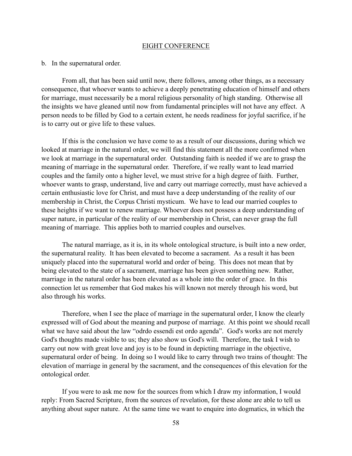#### EIGHT CONFERENCE

## b. In the supernatural order.

 From all, that has been said until now, there follows, among other things, as a necessary consequence, that whoever wants to achieve a deeply penetrating education of himself and others for marriage, must necessarily be a moral religious personality of high standing. Otherwise all the insights we have gleaned until now from fundamental principles will not have any effect. A person needs to be filled by God to a certain extent, he needs readiness for joyful sacrifice, if he is to carry out or give life to these values.

 If this is the conclusion we have come to as a result of our discussions, during which we looked at marriage in the natural order, we will find this statement all the more confirmed when we look at marriage in the supernatural order. Outstanding faith is needed if we are to grasp the meaning of marriage in the supernatural order. Therefore, if we really want to lead married couples and the family onto a higher level, we must strive for a high degree of faith. Further, whoever wants to grasp, understand, live and carry out marriage correctly, must have achieved a certain enthusiastic love for Christ, and must have a deep understanding of the reality of our membership in Christ, the Corpus Christi mysticum. We have to lead our married couples to these heights if we want to renew marriage. Whoever does not possess a deep understanding of super nature, in particular of the reality of our membership in Christ, can never grasp the full meaning of marriage. This applies both to married couples and ourselves.

 The natural marriage, as it is, in its whole ontological structure, is built into a new order, the supernatural reality. It has been elevated to become a sacrament. As a result it has been uniquely placed into the supernatural world and order of being. This does not mean that by being elevated to the state of a sacrament, marriage has been given something new. Rather, marriage in the natural order has been elevated as a whole into the order of grace. In this connection let us remember that God makes his will known not merely through his word, but also through his works.

 Therefore, when I see the place of marriage in the supernatural order, I know the clearly expressed will of God about the meaning and purpose of marriage. At this point we should recall what we have said about the law "odrdo essendi est ordo agenda". God's works are not merely God's thoughts made visible to us; they also show us God's will. Therefore, the task I wish to carry out now with great love and joy is to be found in depicting marriage in the objective, supernatural order of being. In doing so I would like to carry through two trains of thought: The elevation of marriage in general by the sacrament, and the consequences of this elevation for the ontological order.

 If you were to ask me now for the sources from which I draw my information, I would reply: From Sacred Scripture, from the sources of revelation, for these alone are able to tell us anything about super nature. At the same time we want to enquire into dogmatics, in which the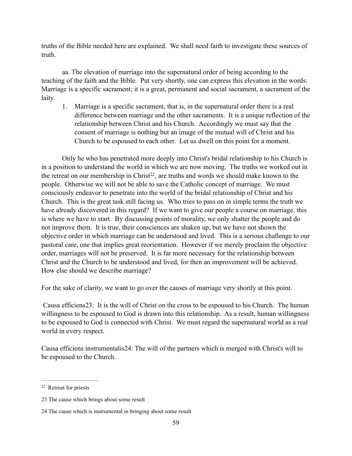truths of the Bible needed here are explained. We shall need faith to investigate these sources of truth.

 aa. The elevation of marriage into the supernatural order of being according to the teaching of the faith and the Bible. Put very shortly, one can express this elevation in the words: Marriage is a specific sacrament; it is a great, permanent and social sacrament, a sacrament of the laity.

1. Marriage is a specific sacrament, that is, in the supernatural order there is a real difference between marriage and the other sacraments. It is a unique reflection of the relationship between Christ and his Church. Accordingly we must say that the consent of marriage is nothing but an image of the mutual will of Christ and his Church to be espoused to each other. Let us dwell on this point for a moment.

 Only he who has penetrated more deeply into Christ's bridal relationship to his Church is in a position to understand the world in which we are now moving. The truths we worked out in the retreat on our membership in Christ<sup>22</sup>, are truths and words we should make known to the people. Otherwise we will not be able to save the Catholic concept of marriage. We must consciously endeavor to penetrate into the world of the bridal relationship of Christ and his Church. This is the great task still facing us. Who tries to pass on in simple terms the truth we have already discovered in this regard? If we want to give our people a course on marriage, this is where we have to start. By discussing points of morality, we only shatter the people and do not improve them. It is true, their consciences are shaken up, but we have not shown the objective order in which marriage can be understood and lived. This is a serious challenge to our pastoral care, one that implies great reorientation. However if we merely proclaim the objective order, marriages will not be preserved. It is far more necessary for the relationship between Christ and the Church to be understood and lived, for then an improvement will be achieved. How else should we describe marriage?

For the sake of clarity, we want to go over the causes of marriage very shortly at this point.

Causa efficiens 23: It is the will of Christ on the cross to be espoused to his Church. The human willingness to be espoused to God is drawn into this relationship. As a result, human willingness to be espoused to God is connected with Christ. We must regard the supernatural world as a real world in every respect.

Causa efficiens instrumentalis<sup>24</sup>: The will of the partners which is merged with Christ's will to be espoused to the Church.

<sup>&</sup>lt;sup>22</sup> Retreat for priests

<sup>23</sup> The cause which brings about some result

<sup>24</sup> The cause which is instrumental in bringing about some result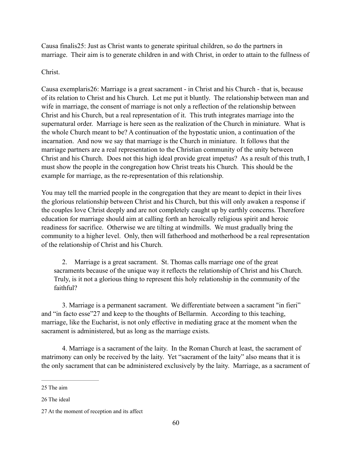Causa finalis<sup>25</sup>: Just as Christ wants to generate spiritual children, so do the partners in marriage. Their aim is to generate children in and with Christ, in order to attain to the fullness of

# Christ.

Causa exemplaris 26: Marriage is a great sacrament - in Christ and his Church - that is, because of its relation to Christ and his Church. Let me put it bluntly. The relationship between man and wife in marriage, the consent of marriage is not only a reflection of the relationship between Christ and his Church, but a real representation of it. This truth integrates marriage into the supernatural order. Marriage is here seen as the realization of the Church in miniature. What is the whole Church meant to be? A continuation of the hypostatic union, a continuation of the incarnation. And now we say that marriage is the Church in miniature. It follows that the marriage partners are a real representation to the Christian community of the unity between Christ and his Church. Does not this high ideal provide great impetus? As a result of this truth, I must show the people in the congregation how Christ treats his Church. This should be the example for marriage, as the re-representation of this relationship.

You may tell the married people in the congregation that they are meant to depict in their lives the glorious relationship between Christ and his Church, but this will only awaken a response if the couples love Christ deeply and are not completely caught up by earthly concerns. Therefore education for marriage should aim at calling forth an heroically religious spirit and heroic readiness for sacrifice. Otherwise we are tilting at windmills. We must gradually bring the community to a higher level. Only, then will fatherhood and motherhood be a real representation of the relationship of Christ and his Church.

2. Marriage is a great sacrament. St. Thomas calls marriage one of the great sacraments because of the unique way it reflects the relationship of Christ and his Church. Truly, is it not a glorious thing to represent this holy relationship in the community of the faithful?

 3. Marriage is a permanent sacrament. We differentiate between a sacrament "in fieri" and "in facto esse" 27 and keep to the thoughts of Bellarmin. According to this teaching, marriage, like the Eucharist, is not only effective in mediating grace at the moment when the sacrament is administered, but as long as the marriage exists.

 4. Marriage is a sacrament of the laity. In the Roman Church at least, the sacrament of matrimony can only be received by the laity. Yet "sacrament of the laity" also means that it is the only sacrament that can be administered exclusively by the laity. Marriage, as a sacrament of

<sup>25</sup> The aim

<sup>26</sup> The ideal

<sup>27</sup> At the moment of reception and its affect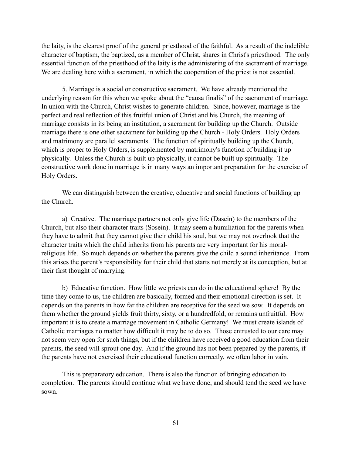the laity, is the clearest proof of the general priesthood of the faithful. As a result of the indelible character of baptism, the baptized, as a member of Christ, shares in Christ's priesthood. The only essential function of the priesthood of the laity is the administering of the sacrament of marriage. We are dealing here with a sacrament, in which the cooperation of the priest is not essential.

 5. Marriage is a social or constructive sacrament. We have already mentioned the underlying reason for this when we spoke about the "causa finalis" of the sacrament of marriage. In union with the Church, Christ wishes to generate children. Since, however, marriage is the perfect and real reflection of this fruitful union of Christ and his Church, the meaning of marriage consists in its being an institution, a sacrament for building up the Church. Outside marriage there is one other sacrament for building up the Church - Holy Orders. Holy Orders and matrimony are parallel sacraments. The function of spiritually building up the Church, which is proper to Holy Orders, is supplemented by matrimony's function of building it up physically. Unless the Church is built up physically, it cannot be built up spiritually. The constructive work done in marriage is in many ways an important preparation for the exercise of Holy Orders.

 We can distinguish between the creative, educative and social functions of building up the Church.

 a) Creative. The marriage partners not only give life (Dasein) to the members of the Church, but also their character traits (Sosein). It may seem a humiliation for the parents when they have to admit that they cannot give their child his soul, but we may not overlook that the character traits which the child inherits from his parents are very important for his moralreligious life. So much depends on whether the parents give the child a sound inheritance. From this arises the parent's responsibility for their child that starts not merely at its conception, but at their first thought of marrying.

 b) Educative function. How little we priests can do in the educational sphere! By the time they come to us, the children are basically, formed and their emotional direction is set. It depends on the parents in how far the children are receptive for the seed we sow. It depends on them whether the ground yields fruit thirty, sixty, or a hundredfold, or remains unfruitful. How important it is to create a marriage movement in Catholic Germany! We must create islands of Catholic marriages no matter how difficult it may be to do so. Those entrusted to our care may not seem very open for such things, but if the children have received a good education from their parents, the seed will sprout one day. And if the ground has not been prepared by the parents, if the parents have not exercised their educational function correctly, we often labor in vain.

 This is preparatory education. There is also the function of bringing education to completion. The parents should continue what we have done, and should tend the seed we have sown.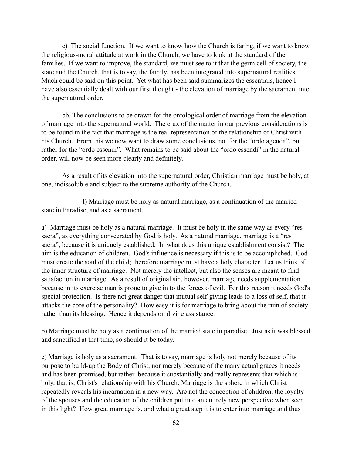c) The social function. If we want to know how the Church is faring, if we want to know the religious-moral attitude at work in the Church, we have to look at the standard of the families. If we want to improve, the standard, we must see to it that the germ cell of society, the state and the Church, that is to say, the family, has been integrated into supernatural realities. Much could be said on this point. Yet what has been said summarizes the essentials, hence I have also essentially dealt with our first thought - the elevation of marriage by the sacrament into the supernatural order.

 bb. The conclusions to be drawn for the ontological order of marriage from the elevation of marriage into the supernatural world. The crux of the matter in our previous considerations is to be found in the fact that marriage is the real representation of the relationship of Christ with his Church. From this we now want to draw some conclusions, not for the "ordo agenda", but rather for the "ordo essendi". What remains to be said about the "ordo essendi" in the natural order, will now be seen more clearly and definitely.

 As a result of its elevation into the supernatural order, Christian marriage must be holy, at one, indissoluble and subject to the supreme authority of the Church.

 l) Marriage must be holy as natural marriage, as a continuation of the married state in Paradise, and as a sacrament.

a) Marriage must be holy as a natural marriage. It must be holy in the same way as every "res sacra", as everything consecrated by God is holy. As a natural marriage, marriage is a "res sacra", because it is uniquely established. In what does this unique establishment consist? The aim is the education of children. God's influence is necessary if this is to be accomplished. God must create the soul of the child; therefore marriage must have a holy character. Let us think of the inner structure of marriage. Not merely the intellect, but also the senses are meant to find satisfaction in marriage. As a result of original sin, however, marriage needs supplementation because in its exercise man is prone to give in to the forces of evil. For this reason it needs God's special protection. Is there not great danger that mutual self-giving leads to a loss of self, that it attacks the core of the personality? How easy it is for marriage to bring about the ruin of society rather than its blessing. Hence it depends on divine assistance.

b) Marriage must be holy as a continuation of the married state in paradise. Just as it was blessed and sanctified at that time, so should it be today.

c) Marriage is holy as a sacrament. That is to say, marriage is holy not merely because of its purpose to build-up the Body of Christ, nor merely because of the many actual graces it needs and has been promised, but rather because it substantially and really represents that which is holy, that is, Christ's relationship with his Church. Marriage is the sphere in which Christ repeatedly reveals his incarnation in a new way. Are not the conception of children, the loyalty of the spouses and the education of the children put into an entirely new perspective when seen in this light? How great marriage is, and what a great step it is to enter into marriage and thus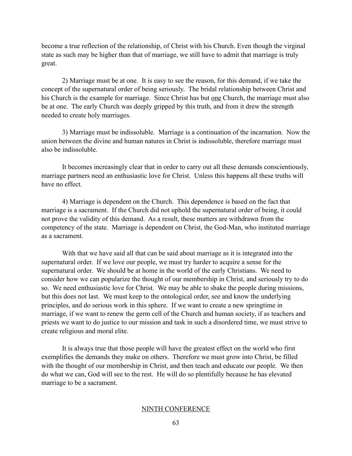become a true reflection of the relationship, of Christ with his Church. Even though the virginal state as such may be higher than that of marriage, we still have to admit that marriage is truly great.

 2) Marriage must be at one. It is easy to see the reason, for this demand, if we take the concept of the supernatural order of being seriously. The bridal relationship between Christ and his Church is the example for marriage. Since Christ has but <u>one</u> Church, the marriage must also be at one. The early Church was deeply gripped by this truth, and from it drew the strength needed to create holy marriages.

 3) Marriage must be indissoluble. Marriage is a continuation of the incarnation. Now the union between the divine and human natures in Christ is indissoluble, therefore marriage must also be indissoluble.

 It becomes increasingly clear that in order to carry out all these demands conscientiously, marriage partners need an enthusiastic love for Christ. Unless this happens all these truths will have no effect.

 4) Marriage is dependent on the Church. This dependence is based on the fact that marriage is a sacrament. If the Church did not uphold the supernatural order of being, it could not prove the validity of this demand. As a result, these matters are withdrawn from the competency of the state. Marriage is dependent on Christ, the God-Man, who instituted marriage as a sacrament.

 With that we have said all that can be said about marriage as it is integrated into the supernatural order. If we love our people, we must try harder to acquire a sense for the supernatural order. We should be at home in the world of the early Christians. We need to consider how we can popularize the thought of our membership in Christ, and seriously try to do so. We need enthusiastic love for Christ. We may be able to shake the people during missions, but this does not last. We must keep to the ontological order, see and know the underlying principles, and do serious work in this sphere. If we want to create a new springtime in marriage, if we want to renew the germ cell of the Church and human society, if as teachers and priests we want to do justice to our mission and task in such a disordered time, we must strive to create religious and moral elite.

 It is always true that those people will have the greatest effect on the world who first exemplifies the demands they make on others. Therefore we must grow into Christ, be filled with the thought of our membership in Christ, and then teach and educate our people. We then do what we can, God will see to the rest. He will do so plentifully because he has elevated marriage to be a sacrament.

## NINTH CONFERENCE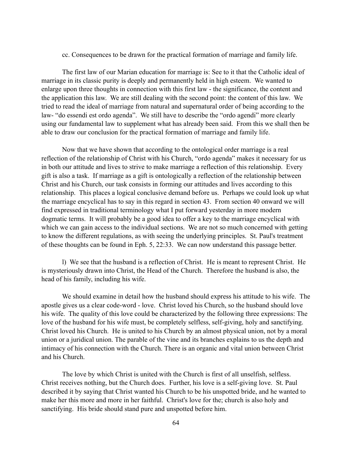cc. Consequences to be drawn for the practical formation of marriage and family life.

 The first law of our Marian education for marriage is: See to it that the Catholic ideal of marriage in its classic purity is deeply and permanently held in high esteem. We wanted to enlarge upon three thoughts in connection with this first law - the significance, the content and the application this law. We are still dealing with the second point: the content of this law. We tried to read the ideal of marriage from natural and supernatural order of being according to the law- "do essendi est ordo agenda". We still have to describe the "ordo agendi" more clearly using our fundamental law to supplement what has already been said. From this we shall then be able to draw our conclusion for the practical formation of marriage and family life.

 Now that we have shown that according to the ontological order marriage is a real reflection of the relationship of Christ with his Church, "ordo agenda" makes it necessary for us in both our attitude and lives to strive to make marriage a reflection of this relationship. Every gift is also a task. If marriage as a gift is ontologically a reflection of the relationship between Christ and his Church, our task consists in forming our attitudes and lives according to this relationship. This places a logical conclusive demand before us. Perhaps we could look up what the marriage encyclical has to say in this regard in section 43. From section 40 onward we will find expressed in traditional terminology what I put forward yesterday in more modern dogmatic terms. It will probably be a good idea to offer a key to the marriage encyclical with which we can gain access to the individual sections. We are not so much concerned with getting to know the different regulations, as with seeing the underlying principles. St. Paul's treatment of these thoughts can be found in Eph. 5, 22:33. We can now understand this passage better.

 l) We see that the husband is a reflection of Christ. He is meant to represent Christ. He is mysteriously drawn into Christ, the Head of the Church. Therefore the husband is also, the head of his family, including his wife.

 We should examine in detail how the husband should express his attitude to his wife. The apostle gives us a clear code-word - love. Christ loved his Church, so the husband should love his wife. The quality of this love could be characterized by the following three expressions: The love of the husband for his wife must, be completely selfless, self-giving, holy and sanctifying. Christ loved his Church. He is united to his Church by an almost physical union, not by a moral union or a juridical union. The parable of the vine and its branches explains to us the depth and intimacy of his connection with the Church. There is an organic and vital union between Christ and his Church.

 The love by which Christ is united with the Church is first of all unselfish, selfless. Christ receives nothing, but the Church does. Further, his love is a self-giving love. St. Paul described it by saying that Christ wanted his Church to be his unspotted bride, and he wanted to make her this more and more in her faithful. Christ's love for the; church is also holy and sanctifying. His bride should stand pure and unspotted before him.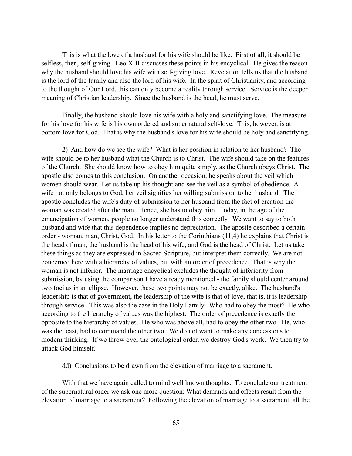This is what the love of a husband for his wife should be like. First of all, it should be selfless, then, self-giving. Leo XIII discusses these points in his encyclical. He gives the reason why the husband should love his wife with self-giving love. Revelation tells us that the husband is the lord of the family and also the lord of his wife. In the spirit of Christianity, and according to the thought of Our Lord, this can only become a reality through service. Service is the deeper meaning of Christian leadership. Since the husband is the head, he must serve.

 Finally, the husband should love his wife with a holy and sanctifying love. The measure for his love for his wife is his own ordered and supernatural self-love. This, however, is at bottom love for God. That is why the husband's love for his wife should be holy and sanctifying.

 2) And how do we see the wife? What is her position in relation to her husband? The wife should be to her husband what the Church is to Christ. The wife should take on the features of the Church. She should know how to obey him quite simply, as the Church obeys Christ. The apostle also comes to this conclusion. On another occasion, he speaks about the veil which women should wear. Let us take up his thought and see the veil as a symbol of obedience. A wife not only belongs to God, her veil signifies her willing submission to her husband. The apostle concludes the wife's duty of submission to her husband from the fact of creation the woman was created after the man. Hence, she has to obey him. Today, in the age of the emancipation of women, people no longer understand this correctly. We want to say to both husband and wife that this dependence implies no depreciation. The apostle described a certain order - woman, man, Christ, God. In his letter to the Corinthians (11,4) he explains that Christ is the head of man, the husband is the head of his wife, and God is the head of Christ. Let us take these things as they are expressed in Sacred Scripture, but interpret them correctly. We are not concerned here with a hierarchy of values, but with an order of precedence. That is why the woman is not inferior. The marriage encyclical excludes the thought of inferiority from submission, by using the comparison I have already mentioned - the family should center around two foci as in an ellipse. However, these two points may not be exactly, alike. The husband's leadership is that of government, the leadership of the wife is that of love, that is, it is leadership through service. This was also the case in the Holy Family. Who had to obey the most? He who according to the hierarchy of values was the highest. The order of precedence is exactly the opposite to the hierarchy of values. He who was above all, had to obey the other two. He, who was the least, had to command the other two. We do not want to make any concessions to modern thinking. If we throw over the ontological order, we destroy God's work. We then try to attack God himself.

dd) Conclusions to be drawn from the elevation of marriage to a sacrament.

 With that we have again called to mind well known thoughts. To conclude our treatment of the supernatural order we ask one more question: What demands and effects result from the elevation of marriage to a sacrament? Following the elevation of marriage to a sacrament, all the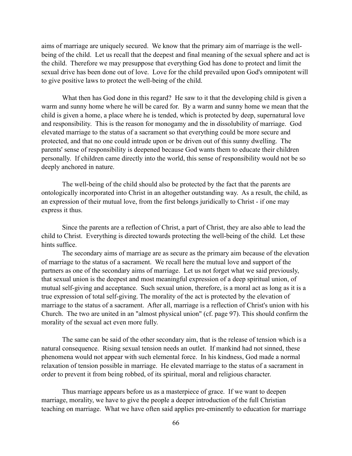aims of marriage are uniquely secured. We know that the primary aim of marriage is the wellbeing of the child. Let us recall that the deepest and final meaning of the sexual sphere and act is the child. Therefore we may presuppose that everything God has done to protect and limit the sexual drive has been done out of love. Love for the child prevailed upon God's omnipotent will to give positive laws to protect the well-being of the child.

 What then has God done in this regard? He saw to it that the developing child is given a warm and sunny home where he will be cared for. By a warm and sunny home we mean that the child is given a home, a place where he is tended, which is protected by deep, supernatural love and responsibility. This is the reason for monogamy and the in dissolubility of marriage. God elevated marriage to the status of a sacrament so that everything could be more secure and protected, and that no one could intrude upon or be driven out of this sunny dwelling. The parents' sense of responsibility is deepened because God wants them to educate their children personally. If children came directly into the world, this sense of responsibility would not be so deeply anchored in nature.

 The well-being of the child should also be protected by the fact that the parents are ontologically incorporated into Christ in an altogether outstanding way. As a result, the child, as an expression of their mutual love, from the first belongs juridically to Christ - if one may express it thus.

 Since the parents are a reflection of Christ, a part of Christ, they are also able to lead the child to Christ. Everything is directed towards protecting the well-being of the child. Let these hints suffice.

 The secondary aims of marriage are as secure as the primary aim because of the elevation of marriage to the status of a sacrament. We recall here the mutual love and support of the partners as one of the secondary aims of marriage. Let us not forget what we said previously, that sexual union is the deepest and most meaningful expression of a deep spiritual union, of mutual self-giving and acceptance. Such sexual union, therefore, is a moral act as long as it is a true expression of total self-giving. The morality of the act is protected by the elevation of marriage to the status of a sacrament. After all, marriage is a reflection of Christ's union with his Church. The two are united in an "almost physical union" (cf. page 97). This should confirm the morality of the sexual act even more fully.

 The same can be said of the other secondary aim, that is the release of tension which is a natural consequence. Rising sexual tension needs an outlet. If mankind had not sinned, these phenomena would not appear with such elemental force. In his kindness, God made a normal relaxation of tension possible in marriage. He elevated marriage to the status of a sacrament in order to prevent it from being robbed, of its spiritual, moral and religious character.

 Thus marriage appears before us as a masterpiece of grace. If we want to deepen marriage, morality, we have to give the people a deeper introduction of the full Christian teaching on marriage. What we have often said applies pre-eminently to education for marriage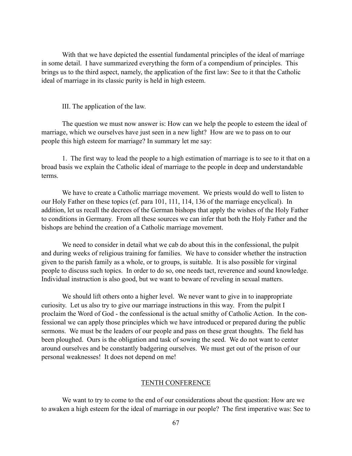With that we have depicted the essential fundamental principles of the ideal of marriage in some detail. I have summarized everything the form of a compendium of principles. This brings us to the third aspect, namely, the application of the first law: See to it that the Catholic ideal of marriage in its classic purity is held in high esteem.

III. The application of the law.

 The question we must now answer is: How can we help the people to esteem the ideal of marriage, which we ourselves have just seen in a new light? How are we to pass on to our people this high esteem for marriage? In summary let me say:

 1. The first way to lead the people to a high estimation of marriage is to see to it that on a broad basis we explain the Catholic ideal of marriage to the people in deep and understandable terms.

 We have to create a Catholic marriage movement. We priests would do well to listen to our Holy Father on these topics (cf. para 101, 111, 114, 136 of the marriage encyclical). In addition, let us recall the decrees of the German bishops that apply the wishes of the Holy Father to conditions in Germany. From all these sources we can infer that both the Holy Father and the bishops are behind the creation of a Catholic marriage movement.

 We need to consider in detail what we cab do about this in the confessional, the pulpit and during weeks of religious training for families. We have to consider whether the instruction given to the parish family as a whole, or to groups, is suitable. It is also possible for virginal people to discuss such topics. In order to do so, one needs tact, reverence and sound knowledge. Individual instruction is also good, but we want to beware of reveling in sexual matters.

 We should lift others onto a higher level. We never want to give in to inappropriate curiosity. Let us also try to give our marriage instructions in this way. From the pulpit I proclaim the Word of God - the confessional is the actual smithy of Catholic Action. In the confessional we can apply those principles which we have introduced or prepared during the public sermons. We must be the leaders of our people and pass on these great thoughts. The field has been ploughed. Ours is the obligation and task of sowing the seed. We do not want to center around ourselves and be constantly badgering ourselves. We must get out of the prison of our personal weaknesses! It does not depend on me!

## TENTH CONFERENCE

 We want to try to come to the end of our considerations about the question: How are we to awaken a high esteem for the ideal of marriage in our people? The first imperative was: See to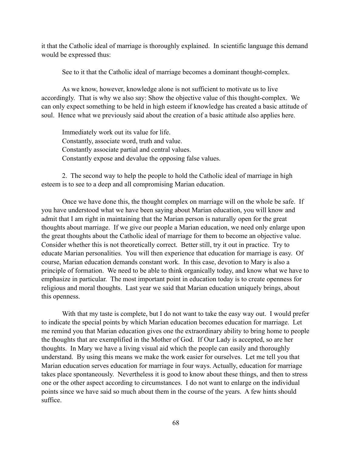it that the Catholic ideal of marriage is thoroughly explained. In scientific language this demand would be expressed thus:

See to it that the Catholic ideal of marriage becomes a dominant thought-complex.

 As we know, however, knowledge alone is not sufficient to motivate us to live accordingly. That is why we also say: Show the objective value of this thought-complex. We can only expect something to be held in high esteem if knowledge has created a basic attitude of soul. Hence what we previously said about the creation of a basic attitude also applies here.

 Immediately work out its value for life. Constantly, associate word, truth and value. Constantly associate partial and central values. Constantly expose and devalue the opposing false values.

 2. The second way to help the people to hold the Catholic ideal of marriage in high esteem is to see to a deep and all compromising Marian education.

 Once we have done this, the thought complex on marriage will on the whole be safe. If you have understood what we have been saying about Marian education, you will know and admit that I am right in maintaining that the Marian person is naturally open for the great thoughts about marriage. If we give our people a Marian education, we need only enlarge upon the great thoughts about the Catholic ideal of marriage for them to become an objective value. Consider whether this is not theoretically correct. Better still, try it out in practice. Try to educate Marian personalities. You will then experience that education for marriage is easy. Of course, Marian education demands constant work. In this case, devotion to Mary is also a principle of formation. We need to be able to think organically today, and know what we have to emphasize in particular. The most important point in education today is to create openness for religious and moral thoughts. Last year we said that Marian education uniquely brings, about this openness.

 With that my taste is complete, but I do not want to take the easy way out. I would prefer to indicate the special points by which Marian education becomes education for marriage. Let me remind you that Marian education gives one the extraordinary ability to bring home to people the thoughts that are exemplified in the Mother of God. If Our Lady is accepted, so are her thoughts. In Mary we have a living visual aid which the people can easily and thoroughly understand. By using this means we make the work easier for ourselves. Let me tell you that Marian education serves education for marriage in four ways. Actually, education for marriage takes place spontaneously. Nevertheless it is good to know about these things, and then to stress one or the other aspect according to circumstances. I do not want to enlarge on the individual points since we have said so much about them in the course of the years. A few hints should suffice.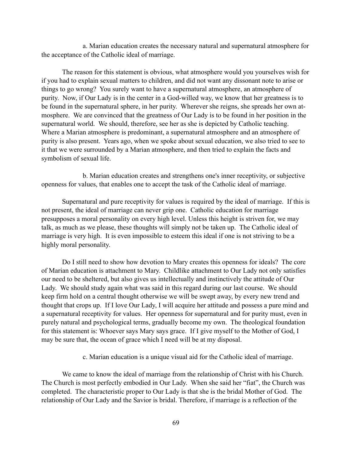a. Marian education creates the necessary natural and supernatural atmosphere for the acceptance of the Catholic ideal of marriage.

 The reason for this statement is obvious, what atmosphere would you yourselves wish for if you had to explain sexual matters to children, and did not want any dissonant note to arise or things to go wrong? You surely want to have a supernatural atmosphere, an atmosphere of purity. Now, if Our Lady is in the center in a God-willed way, we know that her greatness is to be found in the supernatural sphere, in her purity. Wherever she reigns, she spreads her own atmosphere. We are convinced that the greatness of Our Lady is to be found in her position in the supernatural world. We should, therefore, see her as she is depicted by Catholic teaching. Where a Marian atmosphere is predominant, a supernatural atmosphere and an atmosphere of purity is also present. Years ago, when we spoke about sexual education, we also tried to see to it that we were surrounded by a Marian atmosphere, and then tried to explain the facts and symbolism of sexual life.

 b. Marian education creates and strengthens one's inner receptivity, or subjective openness for values, that enables one to accept the task of the Catholic ideal of marriage.

 Supernatural and pure receptivity for values is required by the ideal of marriage. If this is not present, the ideal of marriage can never grip one. Catholic education for marriage presupposes a moral personality on every high level. Unless this height is striven for, we may talk, as much as we please, these thoughts will simply not be taken up. The Catholic ideal of marriage is very high. It is even impossible to esteem this ideal if one is not striving to be a highly moral personality.

 Do I still need to show how devotion to Mary creates this openness for ideals? The core of Marian education is attachment to Mary. Childlike attachment to Our Lady not only satisfies our need to be sheltered, but also gives us intellectually and instinctively the attitude of Our Lady. We should study again what was said in this regard during our last course. We should keep firm hold on a central thought otherwise we will be swept away, by every new trend and thought that crops up. If I love Our Lady, I will acquire her attitude and possess a pure mind and a supernatural receptivity for values. Her openness for supernatural and for purity must, even in purely natural and psychological terms, gradually become my own. The theological foundation for this statement is: Whoever says Mary says grace. If I give myself to the Mother of God, I may be sure that, the ocean of grace which I need will be at my disposal.

c. Marian education is a unique visual aid for the Catholic ideal of marriage.

 We came to know the ideal of marriage from the relationship of Christ with his Church. The Church is most perfectly embodied in Our Lady. When she said her "fiat", the Church was completed. The characteristic proper to Our Lady is that she is the bridal Mother of God. The relationship of Our Lady and the Savior is bridal. Therefore, if marriage is a reflection of the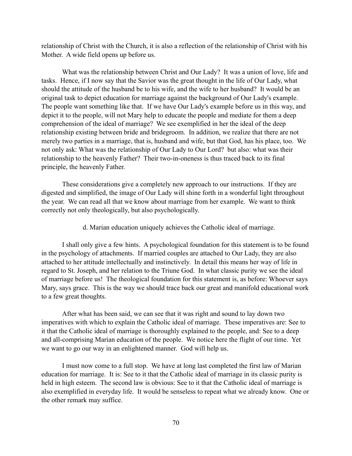relationship of Christ with the Church, it is also a reflection of the relationship of Christ with his Mother. A wide field opens up before us.

 What was the relationship between Christ and Our Lady? It was a union of love, life and tasks. Hence, if I now say that the Savior was the great thought in the life of Our Lady, what should the attitude of the husband be to his wife, and the wife to her husband? It would be an original task to depict education for marriage against the background of Our Lady's example. The people want something like that. If we have Our Lady's example before us in this way, and depict it to the people, will not Mary help to educate the people and mediate for them a deep comprehension of the ideal of marriage? We see exemplified in her the ideal of the deep relationship existing between bride and bridegroom. In addition, we realize that there are not merely two parties in a marriage, that is, husband and wife, but that God, has his place, too. We not only ask: What was the relationship of Our Lady to Our Lord? but also: what was their relationship to the heavenly Father? Their two-in-oneness is thus traced back to its final principle, the heavenly Father.

 These considerations give a completely new approach to our instructions. If they are digested and simplified, the image of Our Lady will shine forth in a wonderful light throughout the year. We can read all that we know about marriage from her example. We want to think correctly not only theologically, but also psychologically.

d. Marian education uniquely achieves the Catholic ideal of marriage.

 I shall only give a few hints. A psychological foundation for this statement is to be found in the psychology of attachments. If married couples are attached to Our Lady, they are also attached to her attitude intellectually and instinctively. In detail this means her way of life in regard to St. Joseph, and her relation to the Triune God. In what classic purity we see the ideal of marriage before us! The theological foundation for this statement is, as before: Whoever says Mary, says grace. This is the way we should trace back our great and manifold educational work to a few great thoughts.

 After what has been said, we can see that it was right and sound to lay down two imperatives with which to explain the Catholic ideal of marriage. These imperatives are: See to it that the Catholic ideal of marriage is thoroughly explained to the people, and: See to a deep and all-comprising Marian education of the people. We notice here the flight of our time. Yet we want to go our way in an enlightened manner. God will help us.

 I must now come to a full stop. We have at long last completed the first law of Marian education for marriage. It is: See to it that the Catholic ideal of marriage in its classic purity is held in high esteem. The second law is obvious: See to it that the Catholic ideal of marriage is also exemplified in everyday life. It would be senseless to repeat what we already know. One or the other remark may suffice.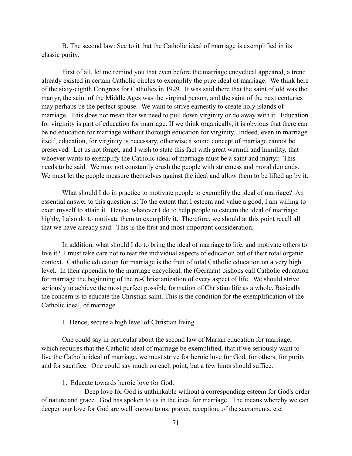B. The second law: See to it that the Catholic ideal of marriage is exemplified in its classic purity.

 First of all, let me remind you that even before the marriage encyclical appeared, a trend already existed in certain Catholic circles to exemplify the pure ideal of marriage. We think here of the sixty-eighth Congress for Catholics in 1929. It was said there that the saint of old was the martyr, the saint of the Middle Ages was the virginal person, and the saint of the next centuries may perhaps be the perfect spouse. We want to strive earnestly to create holy islands of marriage. This does not mean that we need to pull down virginity or do away with it. Education for virginity is part of education for marriage. If we think organically, it is obvious that there can be no education for marriage without thorough education for virginity. Indeed, even in marriage itself, education, for virginity is necessary, otherwise a sound concept of marriage cannot be preserved. Let us not forget, and I wish to state this fact with great warmth and humility, that whoever wants to exemplify the Catholic ideal of marriage must be a saint and martyr. This needs to be said. We may not constantly crush the people with strictness and moral demands. We must let the people measure themselves against the ideal and allow them to be lifted up by it.

 What should I do in practice to motivate people to exemplify the ideal of marriage? An essential answer to this question is: To the extent that I esteem and value a good, I am willing to exert myself to attain it. Hence, whatever I do to help people to esteem the ideal of marriage highly, I also do to motivate them to exemplify it. Therefore, we should at this point recall all that we have already said. This is the first and most important consideration.

 In addition, what should I do to bring the ideal of marriage to life, and motivate others to live it? I must take care not to tear the individual aspects of education out of their total organic context. Catholic education for marriage is the fruit of total Catholic education on a very high level. In their appendix to the marriage encyclical, the (German) bishops call Catholic education for marriage the beginning of the re-Christianization of every aspect of life. We should strive seriously to achieve the most perfect possible formation of Christian life as a whole. Basically the concern is to educate the Christian saint. This is the condition for the exemplification of the Catholic ideal, of marriage.

I. Hence, secure a high level of Christian living.

 One could say in particular about the second law of Marian education for marriage, which requires that the Catholic ideal of marriage be exemplified, that if we seriously want to live the Catholic ideal of marriage, we must strive for heroic love for God, for others, for purity and for sacrifice. One could say much on each point, but a few hints should suffice.

1. Educate towards heroic love for God.

 Deep love for God is unthinkable without a corresponding esteem for God's order of nature and grace. God has spoken to us in the ideal for marriage. The means whereby we can deepen our love for God are well known to us; prayer, reception, of the sacraments, etc.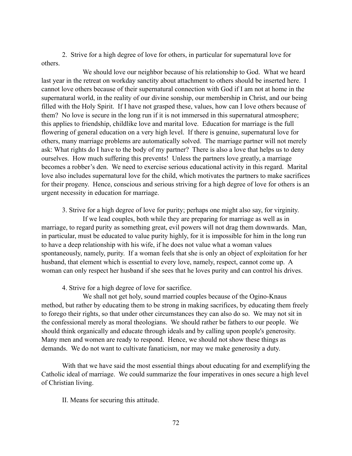2. Strive for a high degree of love for others, in particular for supernatural love for others.

 We should love our neighbor because of his relationship to God. What we heard last year in the retreat on workday sanctity about attachment to others should be inserted here. I cannot love others because of their supernatural connection with God if I am not at home in the supernatural world, in the reality of our divine sonship, our membership in Christ, and our being filled with the Holy Spirit. If I have not grasped these, values, how can I love others because of them? No love is secure in the long run if it is not immersed in this supernatural atmosphere; this applies to friendship, childlike love and marital love. Education for marriage is the full flowering of general education on a very high level. If there is genuine, supernatural love for others, many marriage problems are automatically solved. The marriage partner will not merely ask: What rights do I have to the body of my partner? There is also a love that helps us to deny ourselves. How much suffering this prevents! Unless the partners love greatly, a marriage becomes a robber's den. We need to exercise serious educational activity in this regard. Marital love also includes supernatural love for the child, which motivates the partners to make sacrifices for their progeny. Hence, conscious and serious striving for a high degree of love for others is an urgent necessity in education for marriage.

3. Strive for a high degree of love for purity; perhaps one might also say, for virginity.

 If we lead couples, both while they are preparing for marriage as well as in marriage, to regard purity as something great, evil powers will not drag them downwards. Man, in particular, must be educated to value purity highly, for it is impossible for him in the long run to have a deep relationship with his wife, if he does not value what a woman values spontaneously, namely, purity. If a woman feels that she is only an object of exploitation for her husband, that element which is essential to every love, namely, respect, cannot come up. A woman can only respect her husband if she sees that he loves purity and can control his drives.

4. Strive for a high degree of love for sacrifice.

 We shall not get holy, sound married couples because of the Ogino-Knaus method, but rather by educating them to be strong in making sacrifices, by educating them freely to forego their rights, so that under other circumstances they can also do so. We may not sit in the confessional merely as moral theologians. We should rather be fathers to our people. We should think organically and educate through ideals and by calling upon people's generosity. Many men and women are ready to respond. Hence, we should not show these things as demands. We do not want to cultivate fanaticism, nor may we make generosity a duty.

 With that we have said the most essential things about educating for and exemplifying the Catholic ideal of marriage. We could summarize the four imperatives in ones secure a high level of Christian living.

II. Means for securing this attitude.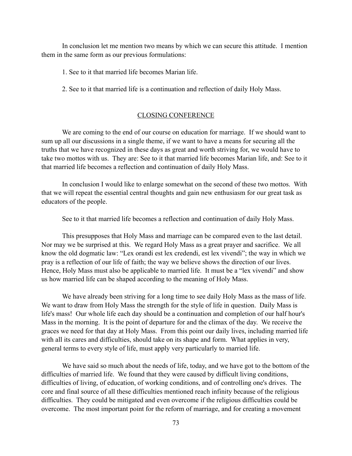In conclusion let me mention two means by which we can secure this attitude. I mention them in the same form as our previous formulations:

- 1. See to it that married life becomes Marian life.
- 2. See to it that married life is a continuation and reflection of daily Holy Mass.

## CLOSING CONFERENCE

 We are coming to the end of our course on education for marriage. If we should want to sum up all our discussions in a single theme, if we want to have a means for securing all the truths that we have recognized in these days as great and worth striving for, we would have to take two mottos with us. They are: See to it that married life becomes Marian life, and: See to it that married life becomes a reflection and continuation of daily Holy Mass.

 In conclusion I would like to enlarge somewhat on the second of these two mottos. With that we will repeat the essential central thoughts and gain new enthusiasm for our great task as educators of the people.

See to it that married life becomes a reflection and continuation of daily Holy Mass.

 This presupposes that Holy Mass and marriage can be compared even to the last detail. Nor may we be surprised at this. We regard Holy Mass as a great prayer and sacrifice. We all know the old dogmatic law: "Lex orandi est lex credendi, est lex vivendi"; the way in which we pray is a reflection of our life of faith; the way we believe shows the direction of our lives. Hence, Holy Mass must also be applicable to married life. It must be a "lex vivendi" and show us how married life can be shaped according to the meaning of Holy Mass.

 We have already been striving for a long time to see daily Holy Mass as the mass of life. We want to draw from Holy Mass the strength for the style of life in question. Daily Mass is life's mass! Our whole life each day should be a continuation and completion of our half hour's Mass in the morning. It is the point of departure for and the climax of the day. We receive the graces we need for that day at Holy Mass. From this point our daily lives, including married life with all its cares and difficulties, should take on its shape and form. What applies in very, general terms to every style of life, must apply very particularly to married life.

 We have said so much about the needs of life, today, and we have got to the bottom of the difficulties of married life. We found that they were caused by difficult living conditions, difficulties of living, of education, of working conditions, and of controlling one's drives. The core and final source of all these difficulties mentioned reach infinity because of the religious difficulties. They could be mitigated and even overcome if the religious difficulties could be overcome. The most important point for the reform of marriage, and for creating a movement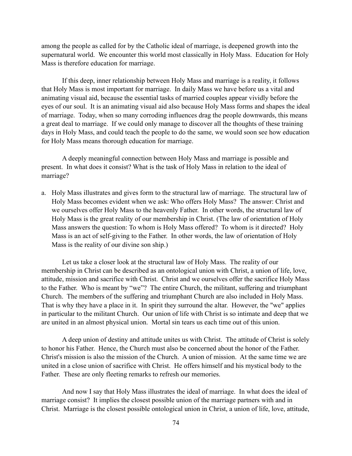among the people as called for by the Catholic ideal of marriage, is deepened growth into the supernatural world. We encounter this world most classically in Holy Mass. Education for Holy Mass is therefore education for marriage.

 If this deep, inner relationship between Holy Mass and marriage is a reality, it follows that Holy Mass is most important for marriage. In daily Mass we have before us a vital and animating visual aid, because the essential tasks of married couples appear vividly before the eyes of our soul. It is an animating visual aid also because Holy Mass forms and shapes the ideal of marriage. Today, when so many corroding influences drag the people downwards, this means a great deal to marriage. If we could only manage to discover all the thoughts of these training days in Holy Mass, and could teach the people to do the same, we would soon see how education for Holy Mass means thorough education for marriage.

 A deeply meaningful connection between Holy Mass and marriage is possible and present. In what does it consist? What is the task of Holy Mass in relation to the ideal of marriage?

a. Holy Mass illustrates and gives form to the structural law of marriage. The structural law of Holy Mass becomes evident when we ask: Who offers Holy Mass? The answer: Christ and we ourselves offer Holy Mass to the heavenly Father. In other words, the structural law of Holy Mass is the great reality of our membership in Christ. (The law of orientation of Holy Mass answers the question: To whom is Holy Mass offered? To whom is it directed? Holy Mass is an act of self-giving to the Father. In other words, the law of orientation of Holy Mass is the reality of our divine son ship.)

 Let us take a closer look at the structural law of Holy Mass. The reality of our membership in Christ can be described as an ontological union with Christ, a union of life, love, attitude, mission and sacrifice with Christ. Christ and we ourselves offer the sacrifice Holy Mass to the Father. Who is meant by "we"? The entire Church, the militant, suffering and triumphant Church. The members of the suffering and triumphant Church are also included in Holy Mass. That is why they have a place in it. In spirit they surround the altar. However, the "we" applies in particular to the militant Church. Our union of life with Christ is so intimate and deep that we are united in an almost physical union. Mortal sin tears us each time out of this union.

 A deep union of destiny and attitude unites us with Christ. The attitude of Christ is solely to honor his Father. Hence, the Church must also be concerned about the honor of the Father. Christ's mission is also the mission of the Church. A union of mission. At the same time we are united in a close union of sacrifice with Christ. He offers himself and his mystical body to the Father. These are only fleeting remarks to refresh our memories.

 And now I say that Holy Mass illustrates the ideal of marriage. In what does the ideal of marriage consist? It implies the closest possible union of the marriage partners with and in Christ. Marriage is the closest possible ontological union in Christ, a union of life, love, attitude,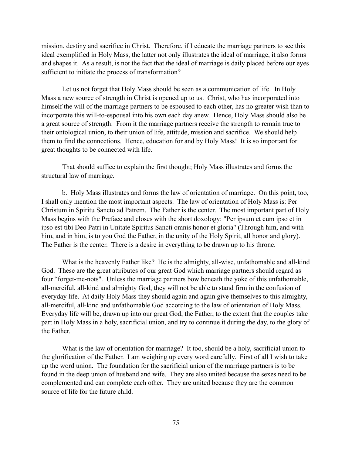mission, destiny and sacrifice in Christ. Therefore, if I educate the marriage partners to see this ideal exemplified in Holy Mass, the latter not only illustrates the ideal of marriage, it also forms and shapes it. As a result, is not the fact that the ideal of marriage is daily placed before our eyes sufficient to initiate the process of transformation?

 Let us not forget that Holy Mass should be seen as a communication of life. In Holy Mass a new source of strength in Christ is opened up to us. Christ, who has incorporated into himself the will of the marriage partners to be espoused to each other, has no greater wish than to incorporate this will-to-espousal into his own each day anew. Hence, Holy Mass should also be a great source of strength. From it the marriage partners receive the strength to remain true to their ontological union, to their union of life, attitude, mission and sacrifice. We should help them to find the connections. Hence, education for and by Holy Mass! It is so important for great thoughts to be connected with life.

 That should suffice to explain the first thought; Holy Mass illustrates and forms the structural law of marriage.

 b. Holy Mass illustrates and forms the law of orientation of marriage. On this point, too, I shall only mention the most important aspects. The law of orientation of Holy Mass is: Per Christum in Spiritu Sancto ad Patrem. The Father is the center. The most important part of Holy Mass begins with the Preface and closes with the short doxology: "Per ipsum et cum ipso et in ipso est tibi Deo Patri in Unitate Spiritus Sancti omnis honor et gloria" (Through him, and with him, and in him, is to you God the Father, in the unity of the Holy Spirit, all honor and glory). The Father is the center. There is a desire in everything to be drawn up to his throne.

 What is the heavenly Father like? He is the almighty, all-wise, unfathomable and all-kind God. These are the great attributes of our great God which marriage partners should regard as four "forget-me-nots". Unless the marriage partners bow beneath the yoke of this unfathomable, all-merciful, all-kind and almighty God, they will not be able to stand firm in the confusion of everyday life. At daily Holy Mass they should again and again give themselves to this almighty, all-merciful, all-kind and unfathomable God according to the law of orientation of Holy Mass. Everyday life will be, drawn up into our great God, the Father, to the extent that the couples take part in Holy Mass in a holy, sacrificial union, and try to continue it during the day, to the glory of the Father.

 What is the law of orientation for marriage? It too, should be a holy, sacrificial union to the glorification of the Father. I am weighing up every word carefully. First of all I wish to take up the word union. The foundation for the sacrificial union of the marriage partners is to be found in the deep union of husband and wife. They are also united because the sexes need to be complemented and can complete each other. They are united because they are the common source of life for the future child.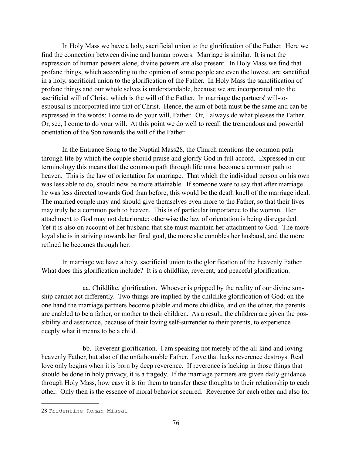In Holy Mass we have a holy, sacrificial union to the glorification of the Father. Here we find the connection between divine and human powers. Marriage is similar. It is not the expression of human powers alone, divine powers are also present. In Holy Mass we find that profane things, which according to the opinion of some people are even the lowest, are sanctified in a holy, sacrificial union to the glorification of the Father. In Holy Mass the sanctification of profane things and our whole selves is understandable, because we are incorporated into the sacrificial will of Christ, which is the will of the Father. In marriage the partners' will-toespousal is incorporated into that of Christ. Hence, the aim of both must be the same and can be expressed in the words: I come to do your will, Father. Or, I always do what pleases the Father. Or, see, I come to do your will. At this point we do well to recall the tremendous and powerful orientation of the Son towards the will of the Father.

In the Entrance Song to the Nuptial Mass 28, the Church mentions the common path through life by which the couple should praise and glorify God in full accord. Expressed in our terminology this means that the common path through life must become a common path to heaven. This is the law of orientation for marriage. That which the individual person on his own was less able to do, should now be more attainable. If someone were to say that after marriage he was less directed towards God than before, this would be the death knell of the marriage ideal. The married couple may and should give themselves even more to the Father, so that their lives may truly be a common path to heaven. This is of particular importance to the woman. Her attachment to God may not deteriorate; otherwise the law of orientation is being disregarded. Yet it is also on account of her husband that she must maintain her attachment to God. The more loyal she is in striving towards her final goal, the more she ennobles her husband, and the more refined he becomes through her.

 In marriage we have a holy, sacrificial union to the glorification of the heavenly Father. What does this glorification include? It is a childlike, reverent, and peaceful glorification.

 aa. Childlike, glorification. Whoever is gripped by the reality of our divine sonship cannot act differently. Two things are implied by the childlike glorification of God; on the one hand the marriage partners become pliable and more childlike, and on the other, the parents are enabled to be a father, or mother to their children. As a result, the children are given the possibility and assurance, because of their loving self-surrender to their parents, to experience deeply what it means to be a child.

 bb. Reverent glorification. I am speaking not merely of the all-kind and loving heavenly Father, but also of the unfathomable Father. Love that lacks reverence destroys. Real love only begins when it is born by deep reverence. If reverence is lacking in those things that should be done in holy privacy, it is a tragedy. If the marriage partners are given daily guidance through Holy Mass, how easy it is for them to transfer these thoughts to their relationship to each other. Only then is the essence of moral behavior secured. Reverence for each other and also for

<sup>28</sup> Tridentine Roman Missal